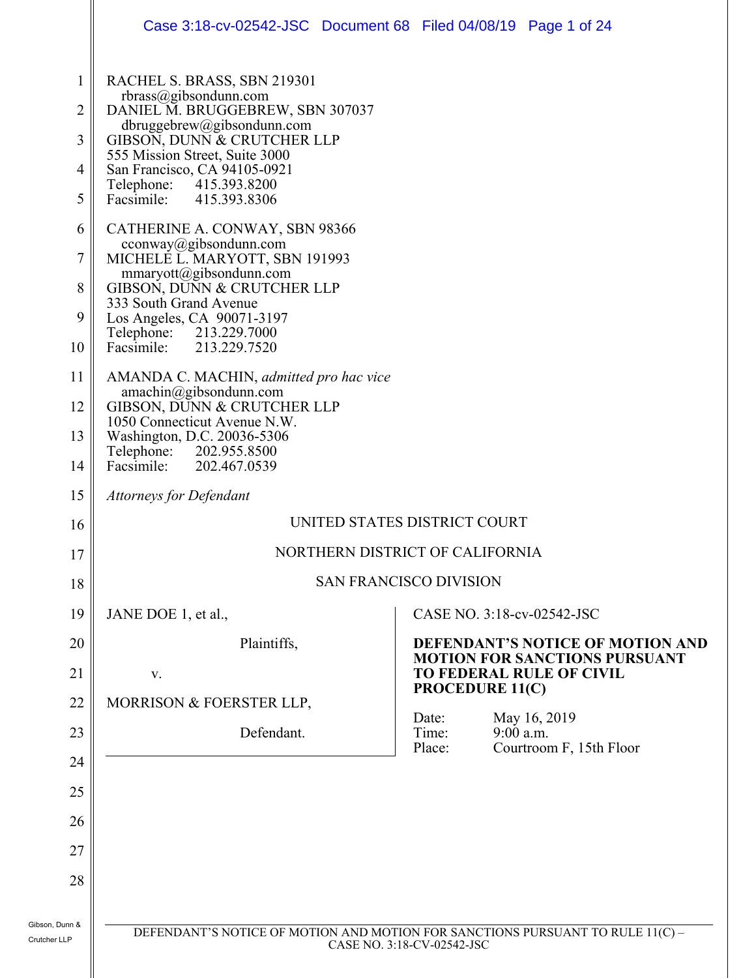|                | Case 3:18-cv-02542-JSC Document 68 Filed 04/08/19 Page 1 of 24                                               |  |                                                                                                                                       |             |                         |  |
|----------------|--------------------------------------------------------------------------------------------------------------|--|---------------------------------------------------------------------------------------------------------------------------------------|-------------|-------------------------|--|
| $\mathbf{1}$   | RACHEL S. BRASS, SBN 219301                                                                                  |  |                                                                                                                                       |             |                         |  |
| 2              | rbrass@gibsondunn.com<br>DANIEL M. BRUGGEBREW, SBN 307037                                                    |  |                                                                                                                                       |             |                         |  |
| 3              | dbruggebrew@gibsondunn.com<br>GIBSON, DUNN & CRUTCHER LLP                                                    |  |                                                                                                                                       |             |                         |  |
| 4              | 555 Mission Street, Suite 3000<br>San Francisco, CA 94105-0921                                               |  |                                                                                                                                       |             |                         |  |
| 5              | Telephone: 415.393.8200<br>415.393.8306<br>Facsimile:                                                        |  |                                                                                                                                       |             |                         |  |
| 6              | CATHERINE A. CONWAY, SBN 98366                                                                               |  |                                                                                                                                       |             |                         |  |
| 7              | cconway@gibsondunn.com<br>MICHELE L. MARYOTT, SBN 191993                                                     |  |                                                                                                                                       |             |                         |  |
| 8              | mmaryott@gibsondunn.com<br>GIBSON, DUNN & CRUTCHER LLP                                                       |  |                                                                                                                                       |             |                         |  |
| 9              | 333 South Grand Avenue<br>Los Angeles, CA 90071-3197                                                         |  |                                                                                                                                       |             |                         |  |
| 10             | Telephone: 213.229.7000<br>Facsimile:<br>213.229.7520                                                        |  |                                                                                                                                       |             |                         |  |
| 11             | AMANDA C. MACHIN, admitted pro hac vice                                                                      |  |                                                                                                                                       |             |                         |  |
| 12             | amachin@gibsondunn.com<br>GIBSON, DUNN & CRUTCHER LLP                                                        |  |                                                                                                                                       |             |                         |  |
| 13             | 1050 Connecticut Avenue N.W.<br>Washington, D.C. 20036-5306                                                  |  |                                                                                                                                       |             |                         |  |
| 14             | Telephone: 202.955.8500<br>Facsimile:<br>202.467.0539                                                        |  |                                                                                                                                       |             |                         |  |
| 15             | <b>Attorneys for Defendant</b>                                                                               |  |                                                                                                                                       |             |                         |  |
| 16             | UNITED STATES DISTRICT COURT                                                                                 |  |                                                                                                                                       |             |                         |  |
| 17             | NORTHERN DISTRICT OF CALIFORNIA                                                                              |  |                                                                                                                                       |             |                         |  |
| 18             |                                                                                                              |  | <b>SAN FRANCISCO DIVISION</b>                                                                                                         |             |                         |  |
| 19             | JANE DOE 1, et al.,                                                                                          |  | CASE NO. 3:18-cv-02542-JSC                                                                                                            |             |                         |  |
| 20             | Plaintiffs,                                                                                                  |  | DEFENDANT'S NOTICE OF MOTION AND<br><b>MOTION FOR SANCTIONS PURSUANT</b><br><b>TO FEDERAL RULE OF CIVIL</b><br><b>PROCEDURE 11(C)</b> |             |                         |  |
| 21             | V.                                                                                                           |  |                                                                                                                                       |             |                         |  |
| 22             | MORRISON & FOERSTER LLP,                                                                                     |  | Date:                                                                                                                                 |             | May 16, 2019            |  |
| 23             | Defendant.                                                                                                   |  | Time:<br>Place:                                                                                                                       | $9:00$ a.m. | Courtroom F, 15th Floor |  |
| 24             |                                                                                                              |  |                                                                                                                                       |             |                         |  |
| 25             |                                                                                                              |  |                                                                                                                                       |             |                         |  |
| 26             |                                                                                                              |  |                                                                                                                                       |             |                         |  |
| 27             |                                                                                                              |  |                                                                                                                                       |             |                         |  |
| 28             |                                                                                                              |  |                                                                                                                                       |             |                         |  |
| Gibson, Dunn & |                                                                                                              |  |                                                                                                                                       |             |                         |  |
| Crutcher LLP   | DEFENDANT'S NOTICE OF MOTION AND MOTION FOR SANCTIONS PURSUANT TO RULE 11(C) -<br>CASE NO. 3:18-CV-02542-JSC |  |                                                                                                                                       |             |                         |  |
|                |                                                                                                              |  |                                                                                                                                       |             |                         |  |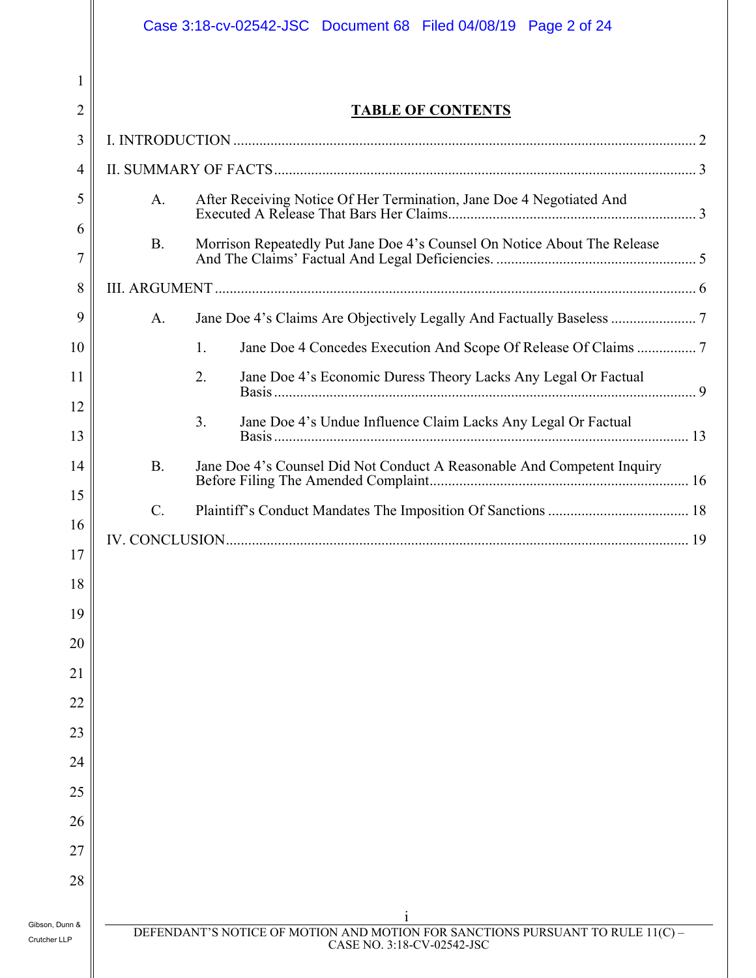|                                | Case 3:18-cv-02542-JSC  Document 68  Filed 04/08/19  Page 2 of 24                                            |  |  |  |  |
|--------------------------------|--------------------------------------------------------------------------------------------------------------|--|--|--|--|
| 1                              |                                                                                                              |  |  |  |  |
| $\overline{2}$                 | <b>TABLE OF CONTENTS</b>                                                                                     |  |  |  |  |
| 3                              |                                                                                                              |  |  |  |  |
| 4                              |                                                                                                              |  |  |  |  |
| 5                              | After Receiving Notice Of Her Termination, Jane Doe 4 Negotiated And<br>A.                                   |  |  |  |  |
| 6<br>$\overline{7}$            | <b>B.</b><br>Morrison Repeatedly Put Jane Doe 4's Counsel On Notice About The Release                        |  |  |  |  |
| 8                              |                                                                                                              |  |  |  |  |
| 9                              | A.                                                                                                           |  |  |  |  |
| 10                             | 1.                                                                                                           |  |  |  |  |
| 11                             | 2.<br>Jane Doe 4's Economic Duress Theory Lacks Any Legal Or Factual                                         |  |  |  |  |
| 12                             | 3.                                                                                                           |  |  |  |  |
| 13                             | Jane Doe 4's Undue Influence Claim Lacks Any Legal Or Factual                                                |  |  |  |  |
| 14                             | <b>B.</b><br>Jane Doe 4's Counsel Did Not Conduct A Reasonable And Competent Inquiry                         |  |  |  |  |
| 15                             | $C$ .                                                                                                        |  |  |  |  |
| 16                             |                                                                                                              |  |  |  |  |
| $17$                           |                                                                                                              |  |  |  |  |
| 18                             |                                                                                                              |  |  |  |  |
| 19                             |                                                                                                              |  |  |  |  |
| 20                             |                                                                                                              |  |  |  |  |
| 21                             |                                                                                                              |  |  |  |  |
| 22                             |                                                                                                              |  |  |  |  |
| 23                             |                                                                                                              |  |  |  |  |
| 24                             |                                                                                                              |  |  |  |  |
| 25                             |                                                                                                              |  |  |  |  |
| 26<br>27                       |                                                                                                              |  |  |  |  |
| 28                             |                                                                                                              |  |  |  |  |
|                                |                                                                                                              |  |  |  |  |
| Gibson, Dunn &<br>Crutcher LLP | DEFENDANT'S NOTICE OF MOTION AND MOTION FOR SANCTIONS PURSUANT TO RULE 11(C) -<br>CASE NO. 3:18-CV-02542-JSC |  |  |  |  |
|                                |                                                                                                              |  |  |  |  |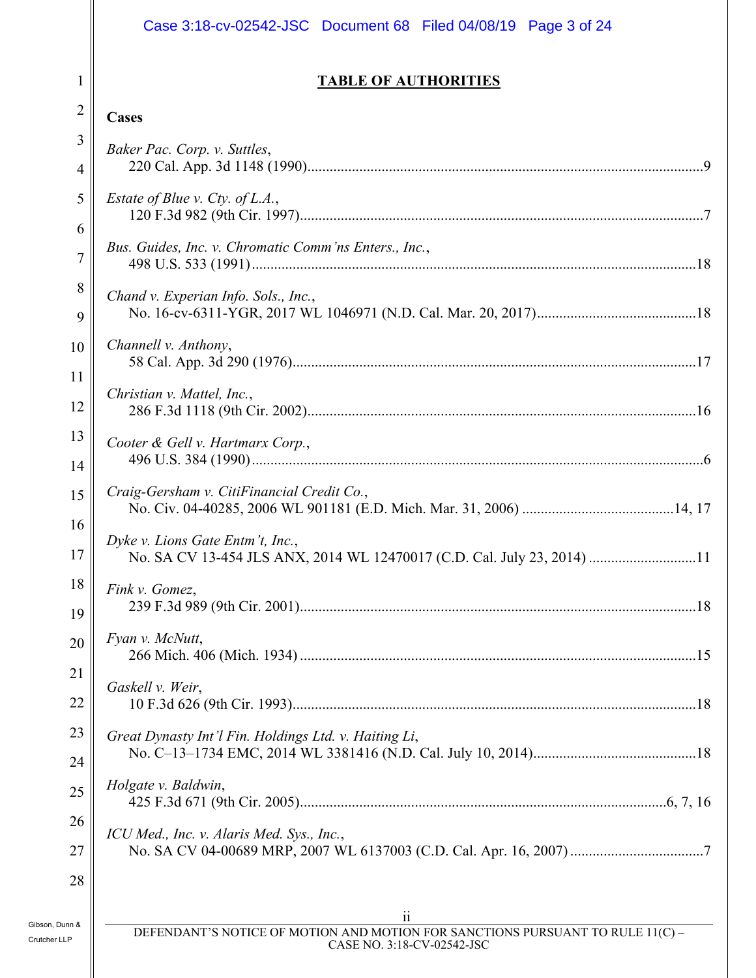### Case 3:18-cv-02542-JSC Document 68 Filed 04/08/19 Page 3 of 24

#### **TABLE OF AUTHORITIES**

#### 2 **Cases**

1

| 3<br>$\overline{4}$ | Baker Pac. Corp. v. Suttles,                                                                                |
|---------------------|-------------------------------------------------------------------------------------------------------------|
| 5                   | <i>Estate of Blue v. Cty. of L.A.</i> ,                                                                     |
| 6<br>$\overline{7}$ | Bus. Guides, Inc. v. Chromatic Comm'ns Enters., Inc.,                                                       |
| 8                   | Chand v. Experian Info. Sols., Inc.,                                                                        |
| 9<br>10             | Channell v. Anthony,                                                                                        |
| 11                  |                                                                                                             |
| 12                  | Christian v. Mattel, Inc.,                                                                                  |
| 13<br>14            | Cooter & Gell v. Hartmarx Corp.,                                                                            |
| 15                  | Craig-Gersham v. CitiFinancial Credit Co.,                                                                  |
| 16<br>17            | Dyke v. Lions Gate Entm't, Inc.,<br>No. SA CV 13-454 JLS ANX, 2014 WL 12470017 (C.D. Cal. July 23, 2014) 11 |
| 18<br>19            | Fink v. Gomez,                                                                                              |
| 20                  | Fyan v. McNutt,                                                                                             |
| 21<br>22            | Gaskell v. Weir,                                                                                            |
| 23<br>24            | Great Dynasty Int'l Fin. Holdings Ltd. v. Haiting Li,                                                       |
| 25                  | Holgate v. Baldwin,                                                                                         |
| 26<br>27            | ICU Med., Inc. v. Alaris Med. Sys., Inc.,                                                                   |
| 28                  |                                                                                                             |
| n &                 | $\overline{\mathbf{u}}$<br>DEFENDANT'S NOTICE OF MOTION AND MOTION FOR SANCTIONS PURSUANT TO RULE 11(C) -   |
|                     | CASE NO. 3:18-CV-02542-JSC                                                                                  |

 $\mathbf l$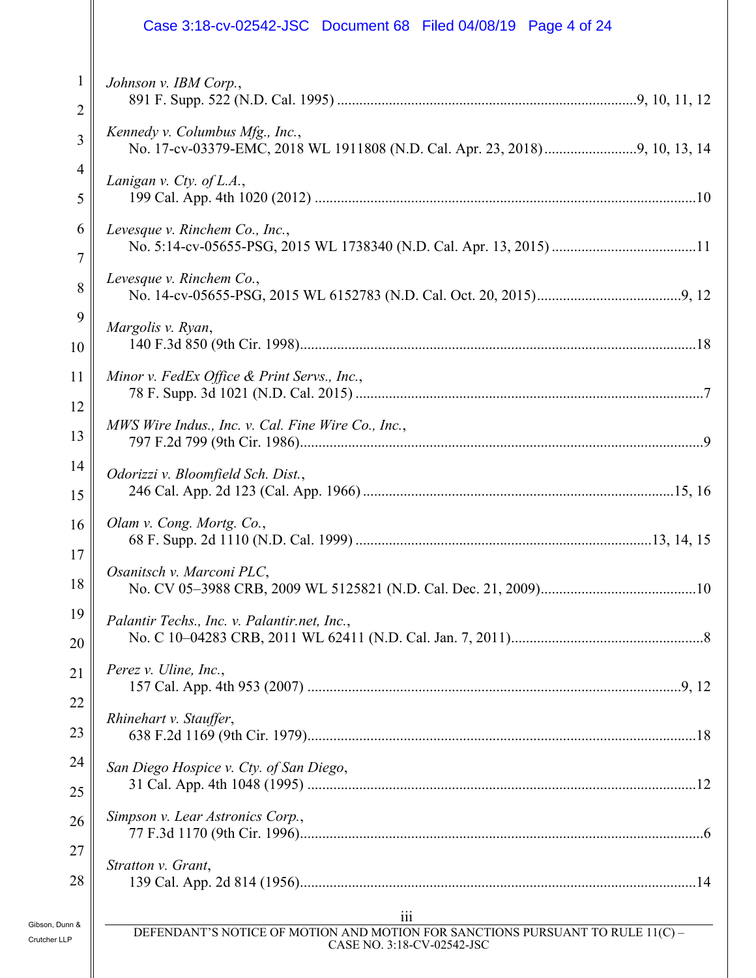|                                | Case 3:18-cv-02542-JSC Document 68 Filed 04/08/19 Page 4 of 24                                                                   |
|--------------------------------|----------------------------------------------------------------------------------------------------------------------------------|
| 1                              | Johnson v. IBM Corp.,                                                                                                            |
| 2<br>3                         | Kennedy v. Columbus Mfg., Inc.,                                                                                                  |
| 4                              |                                                                                                                                  |
| 5                              | Lanigan v. Cty. of L.A.,                                                                                                         |
| 6<br>7                         | Levesque v. Rinchem Co., Inc.,                                                                                                   |
| 8                              | Levesque v. Rinchem Co.,                                                                                                         |
| 9<br>10                        | Margolis v. Ryan,                                                                                                                |
| 11                             | Minor v. FedEx Office & Print Servs., Inc.,                                                                                      |
| 12<br>13                       | MWS Wire Indus., Inc. v. Cal. Fine Wire Co., Inc.,                                                                               |
| 14<br>15                       | Odorizzi v. Bloomfield Sch. Dist.,                                                                                               |
| 16                             | Olam v. Cong. Mortg. Co.,                                                                                                        |
| $17$<br>18                     | Osanitsch v. Marconi PLC,                                                                                                        |
| 19<br>20                       | Palantir Techs., Inc. v. Palantir.net, Inc.,                                                                                     |
| 21                             | Perez v. Uline, Inc.,                                                                                                            |
| 22                             |                                                                                                                                  |
| 23                             | Rhinehart v. Stauffer,                                                                                                           |
| 24                             | San Diego Hospice v. Cty. of San Diego,                                                                                          |
| 25                             |                                                                                                                                  |
| 26                             | Simpson v. Lear Astronics Corp.,                                                                                                 |
| 27                             | Stratton v. Grant,                                                                                                               |
| 28                             |                                                                                                                                  |
| Gibson, Dunn &<br>Crutcher LLP | $\overline{111}$<br>DEFENDANT'S NOTICE OF MOTION AND MOTION FOR SANCTIONS PURSUANT TO RULE 11(C) -<br>CASE NO. 3:18-CV-02542-JSC |

Ш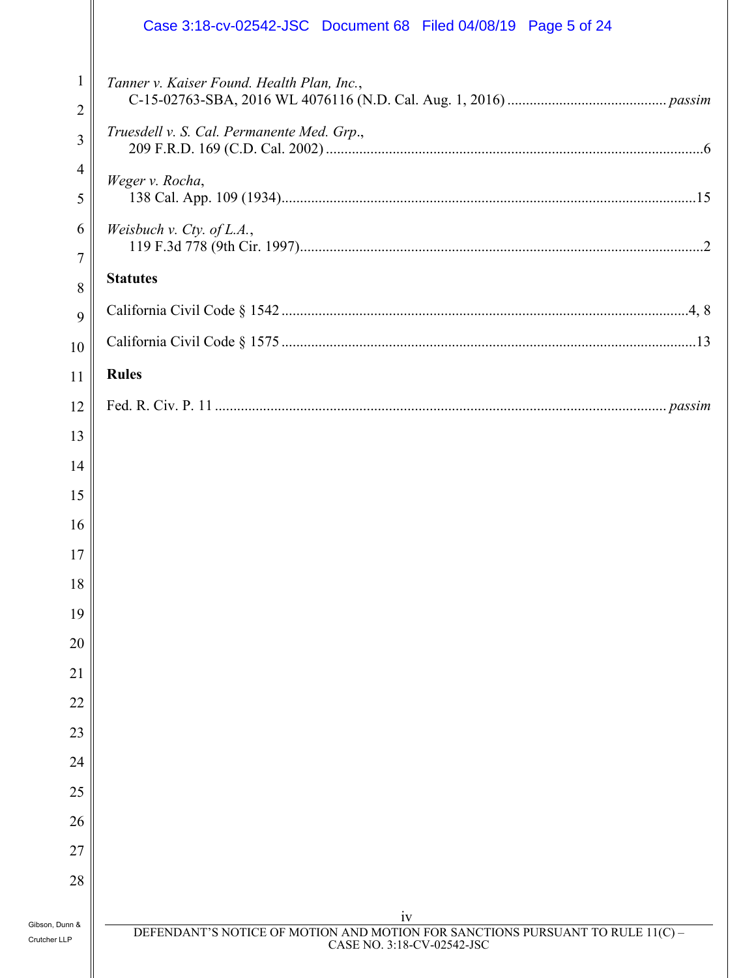|                                                  | Case 3:18-cv-02542-JSC Document 68 Filed 04/08/19 Page 5 of 24                                                     |
|--------------------------------------------------|--------------------------------------------------------------------------------------------------------------------|
| $\mathbf{1}$<br>$\overline{2}$<br>$\mathfrak{Z}$ | Tanner v. Kaiser Found. Health Plan, Inc.,<br>Truesdell v. S. Cal. Permanente Med. Grp.,                           |
| $\overline{4}$<br>5                              | Weger v. Rocha,                                                                                                    |
| 6<br>$\overline{7}$                              | Weisbuch v. Cty. of L.A.,                                                                                          |
| 8                                                | <b>Statutes</b>                                                                                                    |
| 9                                                |                                                                                                                    |
| 10                                               |                                                                                                                    |
| 11                                               | <b>Rules</b>                                                                                                       |
| 12                                               |                                                                                                                    |
| 13                                               |                                                                                                                    |
| 14                                               |                                                                                                                    |
| 15                                               |                                                                                                                    |
| 16                                               |                                                                                                                    |
| $17$                                             |                                                                                                                    |
| 18                                               |                                                                                                                    |
| 19                                               |                                                                                                                    |
| 20                                               |                                                                                                                    |
| 21                                               |                                                                                                                    |
| 22                                               |                                                                                                                    |
| 23                                               |                                                                                                                    |
| 24                                               |                                                                                                                    |
| 25                                               |                                                                                                                    |
| 26                                               |                                                                                                                    |
| 27                                               |                                                                                                                    |
| 28                                               |                                                                                                                    |
| Gibson, Dunn &<br>Crutcher LLP                   | iv<br>DEFENDANT'S NOTICE OF MOTION AND MOTION FOR SANCTIONS PURSUANT TO RULE 11(C) -<br>CASE NO. 3:18-CV-02542-JSC |
|                                                  |                                                                                                                    |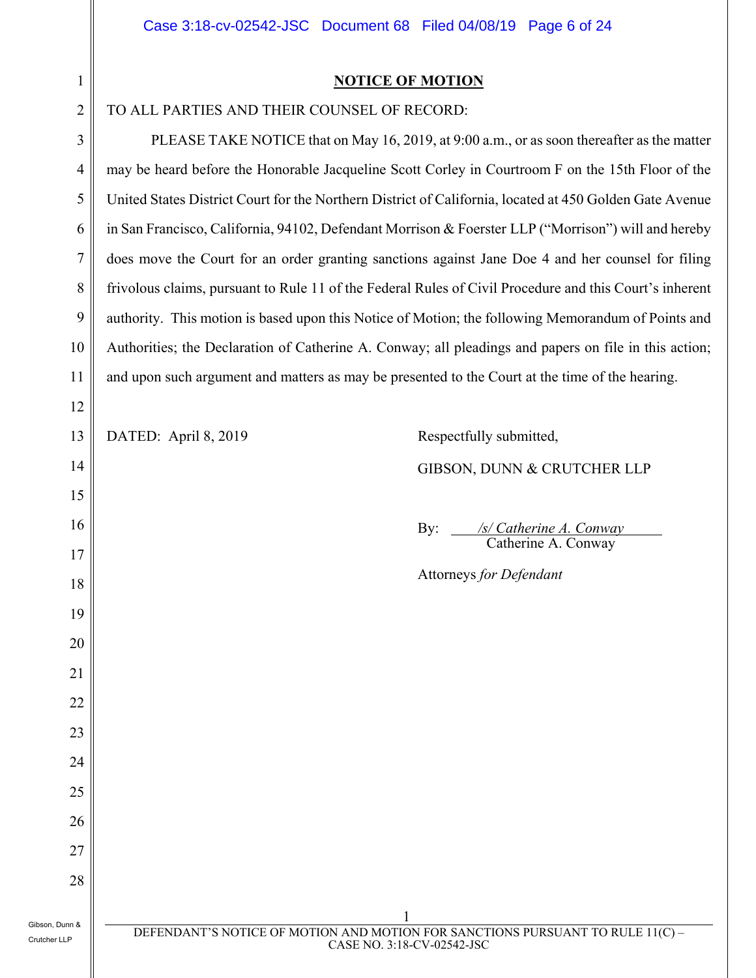| 1<br>Î, |
|---------|
| ٢       |

12

14

15

16

17

18

19

20

21

22

23

24

25

26

27

28

#### **NOTICE OF MOTION**

#### TO ALL PARTIES AND THEIR COUNSEL OF RECORD:

4 5 6 7 8 9 10 11 PLEASE TAKE NOTICE that on May 16, 2019, at 9:00 a.m., or as soon thereafter as the matter may be heard before the Honorable Jacqueline Scott Corley in Courtroom F on the 15th Floor of the United States District Court for the Northern District of California, located at 450 Golden Gate Avenue in San Francisco, California, 94102, Defendant Morrison & Foerster LLP ("Morrison") will and hereby does move the Court for an order granting sanctions against Jane Doe 4 and her counsel for filing frivolous claims, pursuant to Rule 11 of the Federal Rules of Civil Procedure and this Court's inherent authority. This motion is based upon this Notice of Motion; the following Memorandum of Points and Authorities; the Declaration of Catherine A. Conway; all pleadings and papers on file in this action; and upon such argument and matters as may be presented to the Court at the time of the hearing.

13

#### DATED: April 8, 2019 Respectfully submitted,

#### GIBSON, DUNN & CRUTCHER LLP

By: */s/ Catherine A. Conway*<br>Catherine A. Conway

Attorneys *for Defendant*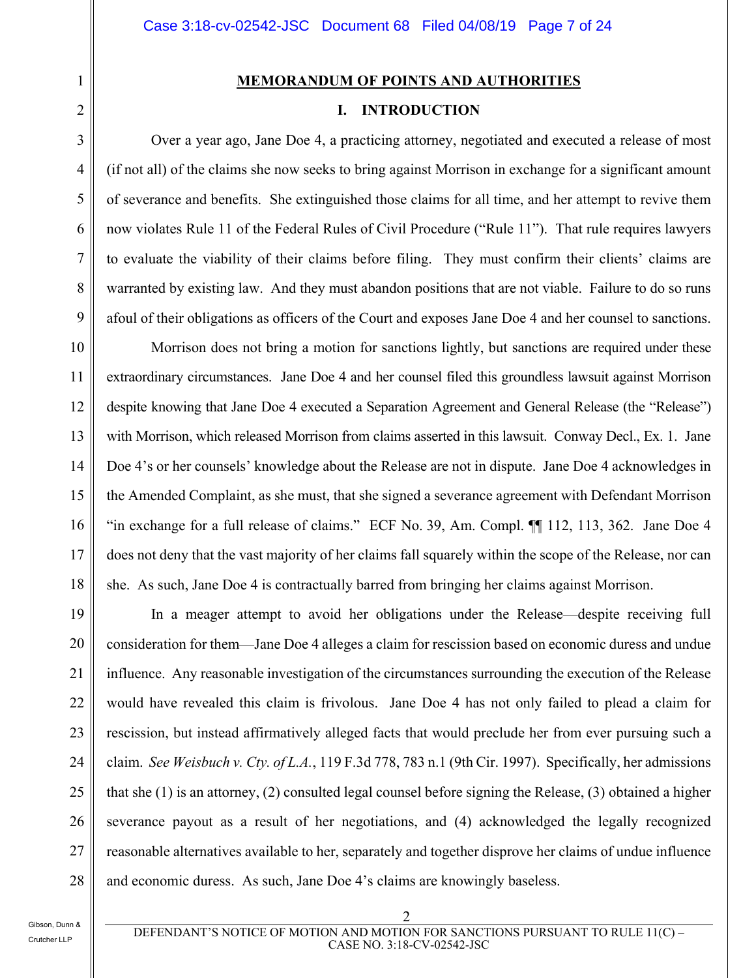#### **MEMORANDUM OF POINTS AND AUTHORITIES**

#### **I. INTRODUCTION**

Over a year ago, Jane Doe 4, a practicing attorney, negotiated and executed a release of most (if not all) of the claims she now seeks to bring against Morrison in exchange for a significant amount of severance and benefits. She extinguished those claims for all time, and her attempt to revive them now violates Rule 11 of the Federal Rules of Civil Procedure ("Rule 11"). That rule requires lawyers to evaluate the viability of their claims before filing. They must confirm their clients' claims are warranted by existing law. And they must abandon positions that are not viable. Failure to do so runs afoul of their obligations as officers of the Court and exposes Jane Doe 4 and her counsel to sanctions.

10 11 12 13 14 15 16 17 18 Morrison does not bring a motion for sanctions lightly, but sanctions are required under these extraordinary circumstances. Jane Doe 4 and her counsel filed this groundless lawsuit against Morrison despite knowing that Jane Doe 4 executed a Separation Agreement and General Release (the "Release") with Morrison, which released Morrison from claims asserted in this lawsuit. Conway Decl., Ex. 1. Jane Doe 4's or her counsels' knowledge about the Release are not in dispute. Jane Doe 4 acknowledges in the Amended Complaint, as she must, that she signed a severance agreement with Defendant Morrison "in exchange for a full release of claims." ECF No. 39, Am. Compl. ¶¶ 112, 113, 362. Jane Doe 4 does not deny that the vast majority of her claims fall squarely within the scope of the Release, nor can she. As such, Jane Doe 4 is contractually barred from bringing her claims against Morrison.

19 20 21 22 23 24 25 26 27 28 In a meager attempt to avoid her obligations under the Release—despite receiving full consideration for them—Jane Doe 4 alleges a claim for rescission based on economic duress and undue influence. Any reasonable investigation of the circumstances surrounding the execution of the Release would have revealed this claim is frivolous. Jane Doe 4 has not only failed to plead a claim for rescission, but instead affirmatively alleged facts that would preclude her from ever pursuing such a claim. *See Weisbuch v. Cty. of L.A.*, 119 F.3d 778, 783 n.1 (9th Cir. 1997). Specifically, her admissions that she (1) is an attorney, (2) consulted legal counsel before signing the Release, (3) obtained a higher severance payout as a result of her negotiations, and (4) acknowledged the legally recognized reasonable alternatives available to her, separately and together disprove her claims of undue influence and economic duress. As such, Jane Doe 4's claims are knowingly baseless.

1

2

3

4

5

6

7

8

9

DEFENDANT'S NOTICE OF MOTION AND MOTION FOR SANCTIONS PURSUANT TO RULE 11(C) – CASE NO. 3:18-CV-02542-JSC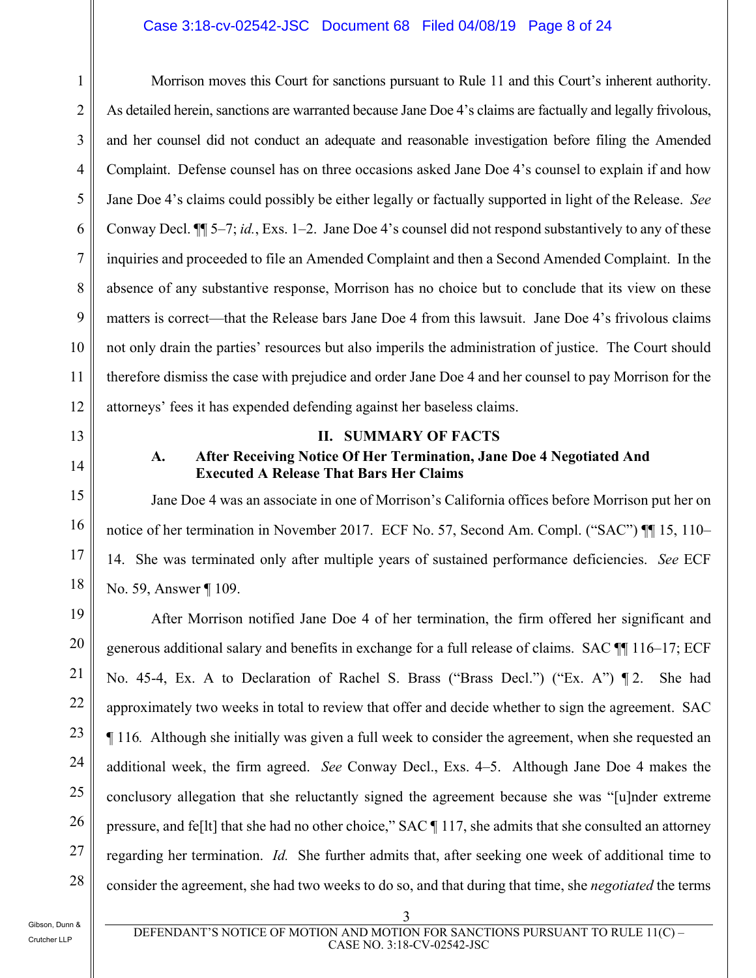#### Case 3:18-cv-02542-JSC Document 68 Filed 04/08/19 Page 8 of 24

2 3 5 6 7 9 12 Morrison moves this Court for sanctions pursuant to Rule 11 and this Court's inherent authority. As detailed herein, sanctions are warranted because Jane Doe 4's claims are factually and legally frivolous, and her counsel did not conduct an adequate and reasonable investigation before filing the Amended Complaint. Defense counsel has on three occasions asked Jane Doe 4's counsel to explain if and how Jane Doe 4's claims could possibly be either legally or factually supported in light of the Release. *See* Conway Decl. ¶¶ 5–7; *id.*, Exs. 1–2. Jane Doe 4's counsel did not respond substantively to any of these inquiries and proceeded to file an Amended Complaint and then a Second Amended Complaint. In the absence of any substantive response, Morrison has no choice but to conclude that its view on these matters is correct—that the Release bars Jane Doe 4 from this lawsuit. Jane Doe 4's frivolous claims not only drain the parties' resources but also imperils the administration of justice. The Court should therefore dismiss the case with prejudice and order Jane Doe 4 and her counsel to pay Morrison for the attorneys' fees it has expended defending against her baseless claims.

13

# 14

15

16

17

18

19

20

21

22

23

24

25

26

27

28

1

4

8

10

11

#### **II. SUMMARY OF FACTS**

#### **A. After Receiving Notice Of Her Termination, Jane Doe 4 Negotiated And Executed A Release That Bars Her Claims**

Jane Doe 4 was an associate in one of Morrison's California offices before Morrison put her on notice of her termination in November 2017. ECF No. 57, Second Am. Compl. ("SAC") II 15, 110– 14. She was terminated only after multiple years of sustained performance deficiencies. *See* ECF No. 59, Answer ¶ 109.

After Morrison notified Jane Doe 4 of her termination, the firm offered her significant and generous additional salary and benefits in exchange for a full release of claims. SAC ¶¶ 116–17; ECF No. 45-4, Ex. A to Declaration of Rachel S. Brass ("Brass Decl.") ("Ex. A") ¶ 2. She had approximately two weeks in total to review that offer and decide whether to sign the agreement. SAC ¶ 116*.* Although she initially was given a full week to consider the agreement, when she requested an additional week, the firm agreed. *See* Conway Decl., Exs. 4–5. Although Jane Doe 4 makes the conclusory allegation that she reluctantly signed the agreement because she was "[u]nder extreme pressure, and fe[lt] that she had no other choice," SAC ¶ 117, she admits that she consulted an attorney regarding her termination. *Id.* She further admits that, after seeking one week of additional time to consider the agreement, she had two weeks to do so, and that during that time, she *negotiated* the terms

Gibson, Dunn & Crutcher LLP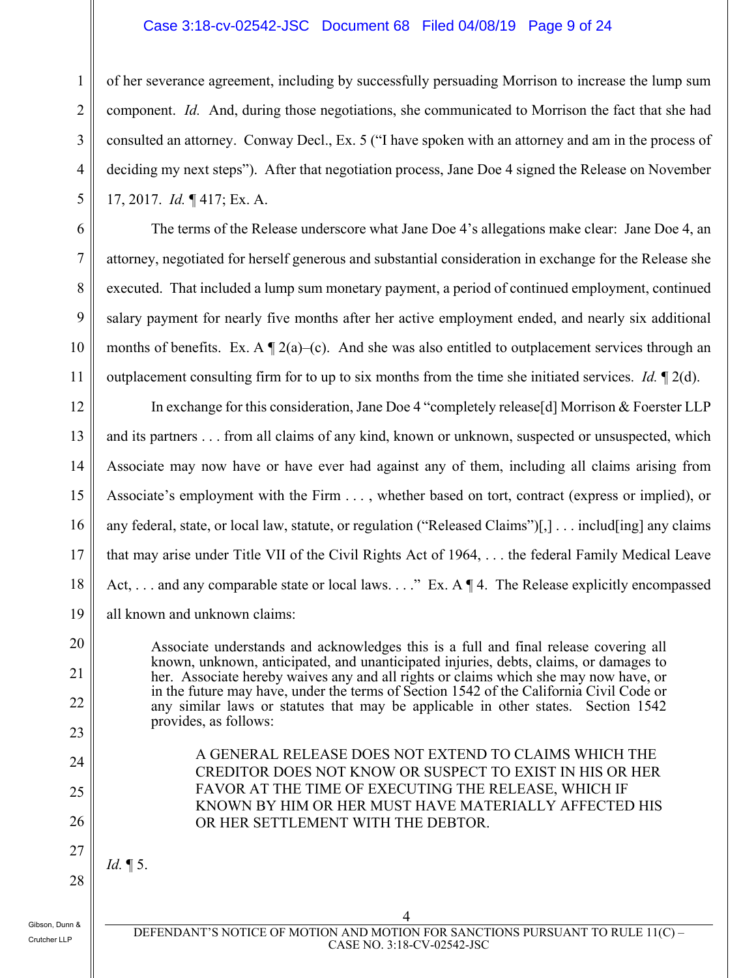#### Case 3:18-cv-02542-JSC Document 68 Filed 04/08/19 Page 9 of 24

of her severance agreement, including by successfully persuading Morrison to increase the lump sum component. *Id.* And, during those negotiations, she communicated to Morrison the fact that she had consulted an attorney. Conway Decl., Ex. 5 ("I have spoken with an attorney and am in the process of deciding my next steps"). After that negotiation process, Jane Doe 4 signed the Release on November 17, 2017. *Id.* ¶ 417; Ex. A.

The terms of the Release underscore what Jane Doe 4's allegations make clear: Jane Doe 4, an attorney, negotiated for herself generous and substantial consideration in exchange for the Release she executed. That included a lump sum monetary payment, a period of continued employment, continued salary payment for nearly five months after her active employment ended, and nearly six additional months of benefits. Ex. A  $\P$  2(a)–(c). And she was also entitled to outplacement services through an outplacement consulting firm for to up to six months from the time she initiated services. *Id.* ¶ 2(d).

12 13 14 15 16 17 18 19 In exchange for this consideration, Jane Doe 4 "completely release[d] Morrison & Foerster LLP and its partners . . . from all claims of any kind, known or unknown, suspected or unsuspected, which Associate may now have or have ever had against any of them, including all claims arising from Associate's employment with the Firm . . . , whether based on tort, contract (express or implied), or any federal, state, or local law, statute, or regulation ("Released Claims")[,] . . . includ[ing] any claims that may arise under Title VII of the Civil Rights Act of 1964, . . . the federal Family Medical Leave Act, ... and any comparable state or local laws...." Ex. A  $\P$  4. The Release explicitly encompassed all known and unknown claims:

> Associate understands and acknowledges this is a full and final release covering all known, unknown, anticipated, and unanticipated injuries, debts, claims, or damages to her. Associate hereby waives any and all rights or claims which she may now have, or in the future may have, under the terms of Section 1542 of the California Civil Code or any similar laws or statutes that may be applicable in other states. Section 1542 provides, as follows:

> > A GENERAL RELEASE DOES NOT EXTEND TO CLAIMS WHICH THE CREDITOR DOES NOT KNOW OR SUSPECT TO EXIST IN HIS OR HER

> > FAVOR AT THE TIME OF EXECUTING THE RELEASE, WHICH IF KNOWN BY HIM OR HER MUST HAVE MATERIALLY AFFECTED HIS

OR HER SETTLEMENT WITH THE DEBTOR.

24 25

20

21

22

23

1

2

3

4

5

6

7

8

9

10

11

26 27

28

*Id.* ¶ 5.

Gibson, Dunn & Crutcher LLP

 4 DEFENDANT'S NOTICE OF MOTION AND MOTION FOR SANCTIONS PURSUANT TO RULE 11(C) – CASE NO. 3:18-CV-02542-JSC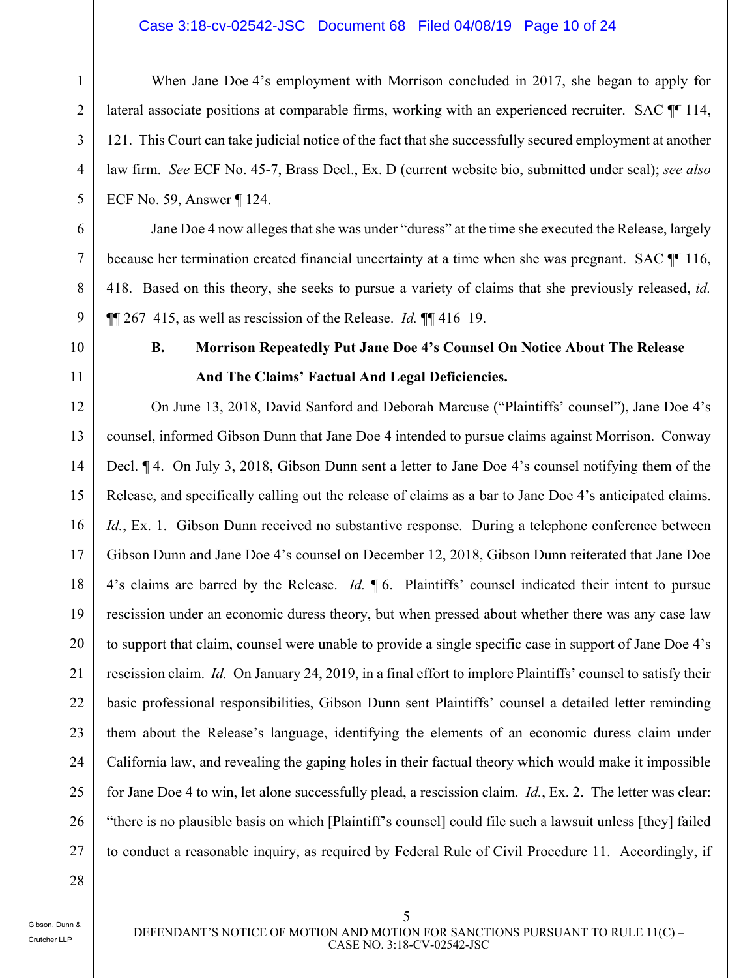#### Case 3:18-cv-02542-JSC Document 68 Filed 04/08/19 Page 10 of 24

When Jane Doe 4's employment with Morrison concluded in 2017, she began to apply for lateral associate positions at comparable firms, working with an experienced recruiter. SAC  $\P$  114, 121. This Court can take judicial notice of the fact that she successfully secured employment at another law firm. *See* ECF No. 45-7, Brass Decl., Ex. D (current website bio, submitted under seal); *see also*  ECF No. 59, Answer ¶ 124.

Jane Doe 4 now alleges that she was under "duress" at the time she executed the Release, largely because her termination created financial uncertainty at a time when she was pregnant. SAC ¶¶ 116, 418. Based on this theory, she seeks to pursue a variety of claims that she previously released, *id.* ¶¶ 267–415, as well as rescission of the Release. *Id.* ¶¶ 416–19.

10

1

2

3

4

5

6

7

8

9

11

## **B. Morrison Repeatedly Put Jane Doe 4's Counsel On Notice About The Release And The Claims' Factual And Legal Deficiencies.**

12 13 14 15 16 17 18 19 20 21 22 23 24 25 26 27 On June 13, 2018, David Sanford and Deborah Marcuse ("Plaintiffs' counsel"), Jane Doe 4's counsel, informed Gibson Dunn that Jane Doe 4 intended to pursue claims against Morrison. Conway Decl. ¶ 4. On July 3, 2018, Gibson Dunn sent a letter to Jane Doe 4's counsel notifying them of the Release, and specifically calling out the release of claims as a bar to Jane Doe 4's anticipated claims. *Id.*, Ex. 1. Gibson Dunn received no substantive response. During a telephone conference between Gibson Dunn and Jane Doe 4's counsel on December 12, 2018, Gibson Dunn reiterated that Jane Doe 4's claims are barred by the Release. *Id.* ¶ 6. Plaintiffs' counsel indicated their intent to pursue rescission under an economic duress theory, but when pressed about whether there was any case law to support that claim, counsel were unable to provide a single specific case in support of Jane Doe 4's rescission claim. *Id.* On January 24, 2019, in a final effort to implore Plaintiffs' counsel to satisfy their basic professional responsibilities, Gibson Dunn sent Plaintiffs' counsel a detailed letter reminding them about the Release's language, identifying the elements of an economic duress claim under California law, and revealing the gaping holes in their factual theory which would make it impossible for Jane Doe 4 to win, let alone successfully plead, a rescission claim. *Id.*, Ex. 2. The letter was clear: "there is no plausible basis on which [Plaintiff's counsel] could file such a lawsuit unless [they] failed to conduct a reasonable inquiry, as required by Federal Rule of Civil Procedure 11. Accordingly, if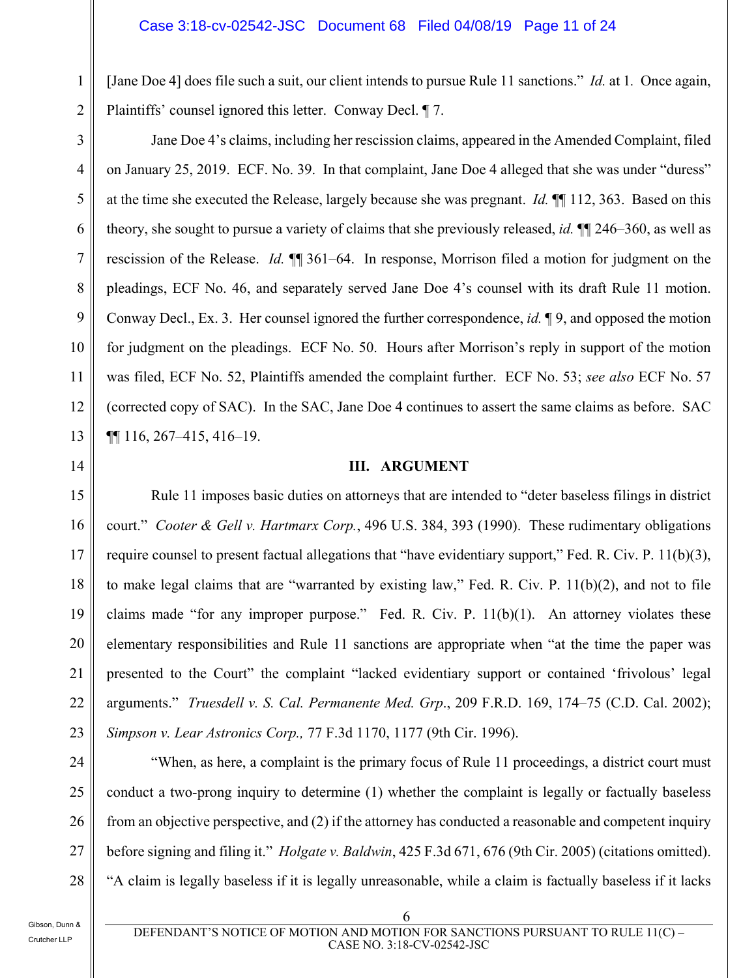[Jane Doe 4] does file such a suit, our client intends to pursue Rule 11 sanctions." *Id.* at 1*.* Once again, Plaintiffs' counsel ignored this letter. Conway Decl. ¶ 7.

3 4 5 6 7 8 9 10 11 12 13 Jane Doe 4's claims, including her rescission claims, appeared in the Amended Complaint, filed on January 25, 2019. ECF. No. 39. In that complaint, Jane Doe 4 alleged that she was under "duress" at the time she executed the Release, largely because she was pregnant. *Id.* ¶¶ 112, 363. Based on this theory, she sought to pursue a variety of claims that she previously released, *id.* ¶¶ 246–360, as well as rescission of the Release. *Id.* ¶¶ 361–64. In response, Morrison filed a motion for judgment on the pleadings, ECF No. 46, and separately served Jane Doe 4's counsel with its draft Rule 11 motion. Conway Decl., Ex. 3. Her counsel ignored the further correspondence, *id.* ¶ 9, and opposed the motion for judgment on the pleadings. ECF No. 50. Hours after Morrison's reply in support of the motion was filed, ECF No. 52, Plaintiffs amended the complaint further. ECF No. 53; *see also* ECF No. 57 (corrected copy of SAC). In the SAC, Jane Doe 4 continues to assert the same claims as before. SAC ¶¶ 116, 267–415, 416–19.

#### **III. ARGUMENT**

Rule 11 imposes basic duties on attorneys that are intended to "deter baseless filings in district court." *Cooter & Gell v. Hartmarx Corp.*, 496 U.S. 384, 393 (1990). These rudimentary obligations require counsel to present factual allegations that "have evidentiary support," Fed. R. Civ. P. 11(b)(3), to make legal claims that are "warranted by existing law," Fed. R. Civ. P. 11(b)(2), and not to file claims made "for any improper purpose." Fed. R. Civ. P.  $11(b)(1)$ . An attorney violates these elementary responsibilities and Rule 11 sanctions are appropriate when "at the time the paper was presented to the Court" the complaint "lacked evidentiary support or contained 'frivolous' legal arguments." *Truesdell v. S. Cal. Permanente Med. Grp*., 209 F.R.D. 169, 174–75 (C.D. Cal. 2002); *Simpson v. Lear Astronics Corp.,* 77 F.3d 1170, 1177 (9th Cir. 1996).

"When, as here, a complaint is the primary focus of Rule 11 proceedings, a district court must conduct a two-prong inquiry to determine (1) whether the complaint is legally or factually baseless from an objective perspective, and (2) if the attorney has conducted a reasonable and competent inquiry before signing and filing it." *Holgate v. Baldwin*, 425 F.3d 671, 676 (9th Cir. 2005) (citations omitted). "A claim is legally baseless if it is legally unreasonable, while a claim is factually baseless if it lacks

Gibson, Dunn & Crutcher LLP

1

2

14

15

16

17

18

19

20

21

22

23

24

25

26

27

28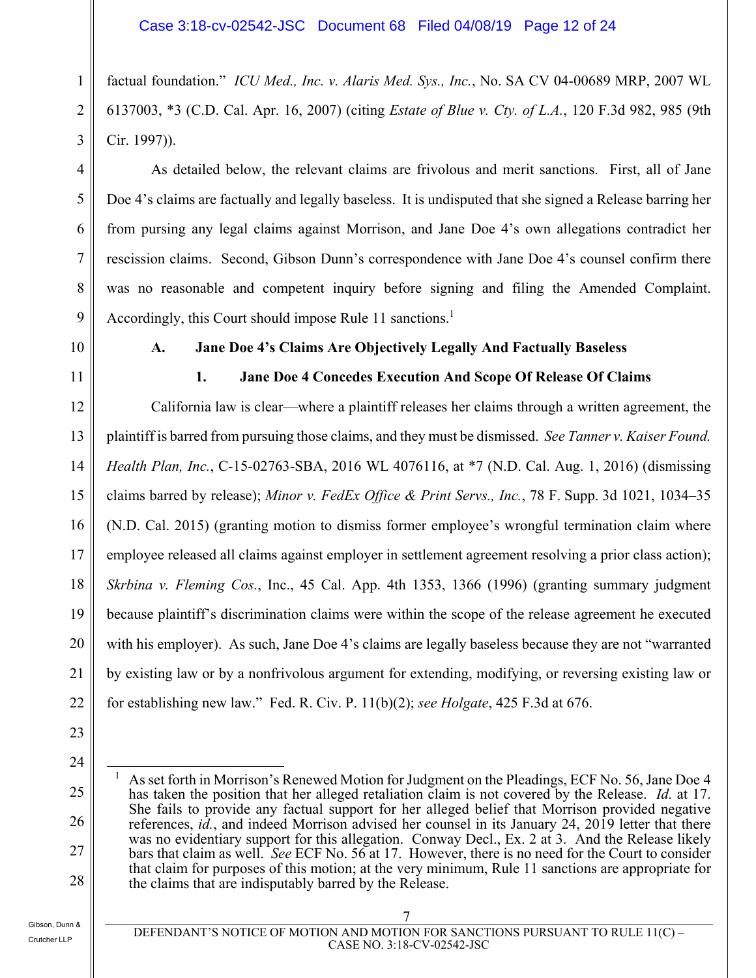factual foundation." *ICU Med., Inc. v. Alaris Med. Sys., Inc.*, No. SA CV 04-00689 MRP, 2007 WL 6137003, \*3 (C.D. Cal. Apr. 16, 2007) (citing *Estate of Blue v. Cty. of L.A.*, 120 F.3d 982, 985 (9th Cir. 1997)).

As detailed below, the relevant claims are frivolous and merit sanctions. First, all of Jane Doe 4's claims are factually and legally baseless. It is undisputed that she signed a Release barring her from pursing any legal claims against Morrison, and Jane Doe 4's own allegations contradict her rescission claims. Second, Gibson Dunn's correspondence with Jane Doe 4's counsel confirm there was no reasonable and competent inquiry before signing and filing the Amended Complaint. Accordingly, this Court should impose Rule 11 sanctions.<sup>1</sup>

9 10

1

2

3

4

5

6

7

8

11

#### **A. Jane Doe 4's Claims Are Objectively Legally And Factually Baseless**

#### **1. Jane Doe 4 Concedes Execution And Scope Of Release Of Claims**

12 13 14 15 16 17 18 19 20 21 22 California law is clear—where a plaintiff releases her claims through a written agreement, the plaintiff is barred from pursuing those claims, and they must be dismissed. *See Tanner v. Kaiser Found. Health Plan, Inc.*, C-15-02763-SBA, 2016 WL 4076116, at \*7 (N.D. Cal. Aug. 1, 2016) (dismissing claims barred by release); *Minor v. FedEx Office & Print Servs., Inc.*, 78 F. Supp. 3d 1021, 1034–35 (N.D. Cal. 2015) (granting motion to dismiss former employee's wrongful termination claim where employee released all claims against employer in settlement agreement resolving a prior class action); *Skrbina v. Fleming Cos.*, Inc., 45 Cal. App. 4th 1353, 1366 (1996) (granting summary judgment because plaintiff's discrimination claims were within the scope of the release agreement he executed with his employer). As such, Jane Doe 4's claims are legally baseless because they are not "warranted by existing law or by a nonfrivolous argument for extending, modifying, or reversing existing law or for establishing new law." Fed. R. Civ. P. 11(b)(2); *see Holgate*, 425 F.3d at 676.

23

24

25 26 27 28  $\overline{a}$ 1 As set forth in Morrison's Renewed Motion for Judgment on the Pleadings, ECF No. 56, Jane Doe 4 has taken the position that her alleged retaliation claim is not covered by the Release. *Id.* at 17. She fails to provide any factual support for her alleged belief that Morrison provided negative references, *id.*, and indeed Morrison advised her counsel in its January 24, 2019 letter that there was no evidentiary support for this allegation. Conway Decl., Ex. 2 at 3. And the Release likely bars that claim as well. *See* ECF No. 56 at 17. However, there is no need for the Court to consider that claim for purposes of this motion; at the very minimum, Rule 11 sanctions are appropriate for the claims that are indisputably barred by the Release.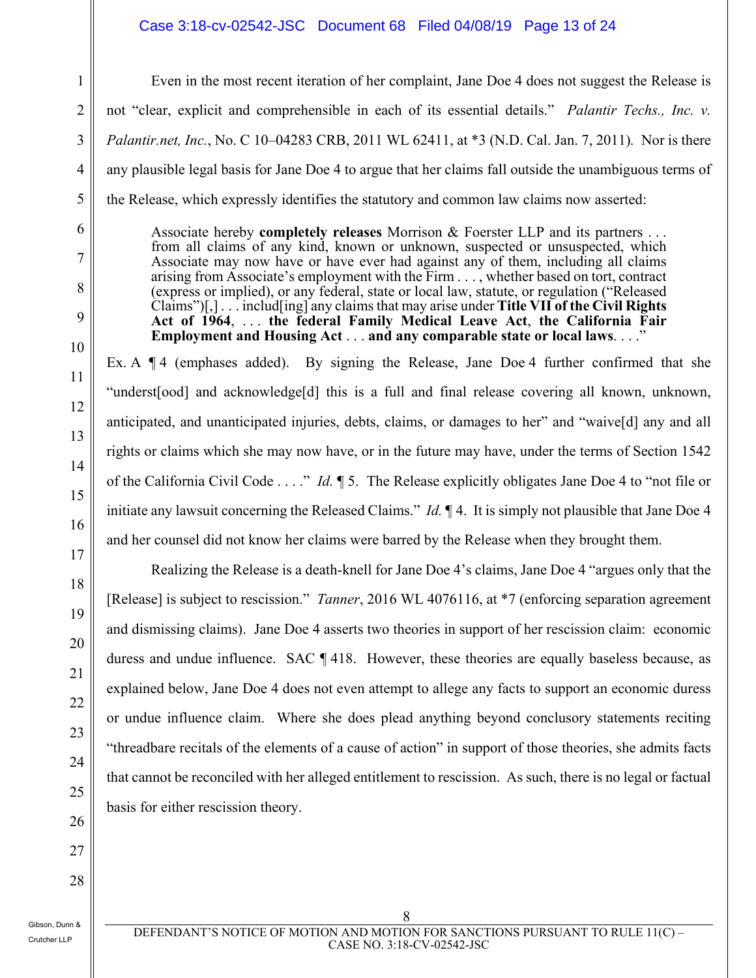#### Case 3:18-cv-02542-JSC Document 68 Filed 04/08/19 Page 13 of 24

Even in the most recent iteration of her complaint, Jane Doe 4 does not suggest the Release is not "clear, explicit and comprehensible in each of its essential details." *Palantir Techs., Inc. v. Palantir.net, Inc.*, No. C 10–04283 CRB, 2011 WL 62411, at \*3 (N.D. Cal. Jan. 7, 2011)*.* Nor is there any plausible legal basis for Jane Doe 4 to argue that her claims fall outside the unambiguous terms of the Release, which expressly identifies the statutory and common law claims now asserted:

Associate hereby **completely releases** Morrison & Foerster LLP and its partners . . . from all claims of any kind, known or unknown, suspected or unsuspected, which Associate may now have or have ever had against any of them, including all claims arising from Associate's employment with the Firm . . . , whether based on tort, contract (express or implied), or any federal, state or local law, statute, or regulation ("Released Claims")[,] . . . includ[ing] any claims that may arise under **Title VII of the Civil Rights Act of 1964**, . . . **the federal Family Medical Leave Act**, **the California Fair Employment and Housing Act** . . . **and any comparable state or local laws**. . . ."

Ex. A  $\P$  4 (emphases added). By signing the Release, Jane Doe 4 further confirmed that she "underst[ood] and acknowledge[d] this is a full and final release covering all known, unknown, anticipated, and unanticipated injuries, debts, claims, or damages to her" and "waive[d] any and all rights or claims which she may now have, or in the future may have, under the terms of Section 1542 of the California Civil Code . . . ." *Id.* ¶ 5. The Release explicitly obligates Jane Doe 4 to "not file or initiate any lawsuit concerning the Released Claims." *Id.* ¶ 4. It is simply not plausible that Jane Doe 4 and her counsel did not know her claims were barred by the Release when they brought them.

Realizing the Release is a death-knell for Jane Doe 4's claims, Jane Doe 4 "argues only that the [Release] is subject to rescission." *Tanner*, 2016 WL 4076116, at \*7 (enforcing separation agreement and dismissing claims). Jane Doe 4 asserts two theories in support of her rescission claim: economic duress and undue influence. SAC ¶ 418. However, these theories are equally baseless because, as explained below, Jane Doe 4 does not even attempt to allege any facts to support an economic duress or undue influence claim. Where she does plead anything beyond conclusory statements reciting "threadbare recitals of the elements of a cause of action" in support of those theories, she admits facts that cannot be reconciled with her alleged entitlement to rescission. As such, there is no legal or factual basis for either rescission theory.

1

2

Gibson, Dunn & Crutcher LLP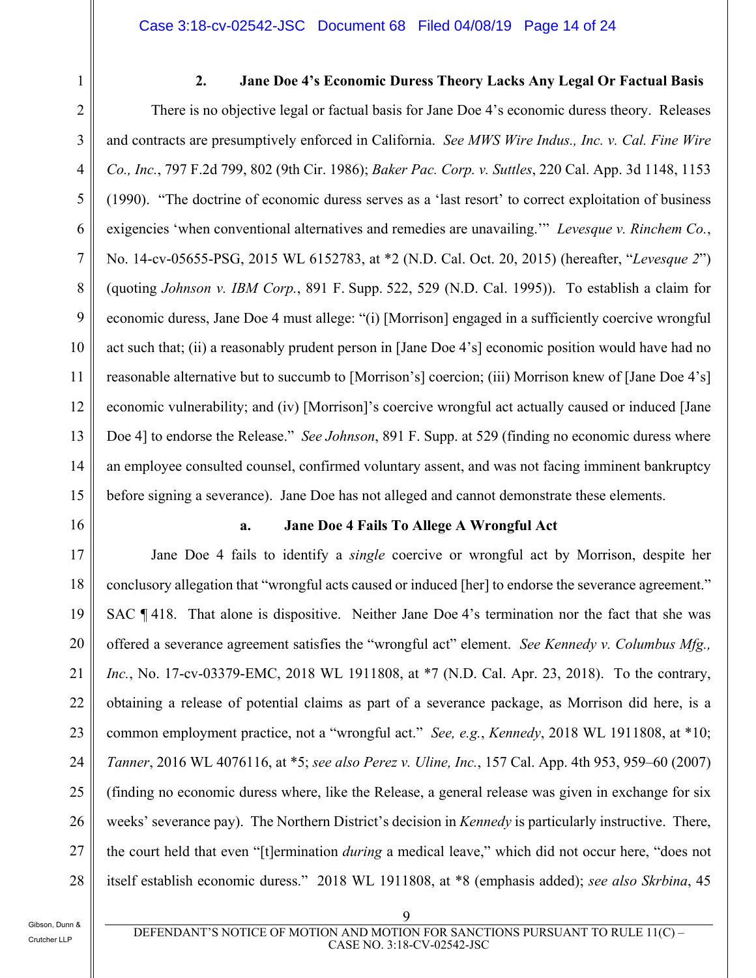1

#### **2. Jane Doe 4's Economic Duress Theory Lacks Any Legal Or Factual Basis**

2 3 4 5 6 7 8 9 10 11 12 13 14 15 There is no objective legal or factual basis for Jane Doe 4's economic duress theory. Releases and contracts are presumptively enforced in California. *See MWS Wire Indus., Inc. v. Cal. Fine Wire Co., Inc.*, 797 F.2d 799, 802 (9th Cir. 1986); *Baker Pac. Corp. v. Suttles*, 220 Cal. App. 3d 1148, 1153 (1990). "The doctrine of economic duress serves as a 'last resort' to correct exploitation of business exigencies 'when conventional alternatives and remedies are unavailing.'" *Levesque v. Rinchem Co.*, No. 14-cv-05655-PSG, 2015 WL 6152783, at \*2 (N.D. Cal. Oct. 20, 2015) (hereafter, "*Levesque 2*") (quoting *Johnson v. IBM Corp.*, 891 F. Supp. 522, 529 (N.D. Cal. 1995)). To establish a claim for economic duress, Jane Doe 4 must allege: "(i) [Morrison] engaged in a sufficiently coercive wrongful act such that; (ii) a reasonably prudent person in [Jane Doe 4's] economic position would have had no reasonable alternative but to succumb to [Morrison's] coercion; (iii) Morrison knew of [Jane Doe 4's] economic vulnerability; and (iv) [Morrison]'s coercive wrongful act actually caused or induced [Jane Doe 4] to endorse the Release." *See Johnson*, 891 F. Supp. at 529 (finding no economic duress where an employee consulted counsel, confirmed voluntary assent, and was not facing imminent bankruptcy before signing a severance). Jane Doe has not alleged and cannot demonstrate these elements.

16

#### **a. Jane Doe 4 Fails To Allege A Wrongful Act**

17 18 19 20 21 22 23 24 25 26 27 28 Jane Doe 4 fails to identify a *single* coercive or wrongful act by Morrison, despite her conclusory allegation that "wrongful acts caused or induced [her] to endorse the severance agreement." SAC ¶ 418. That alone is dispositive. Neither Jane Doe 4's termination nor the fact that she was offered a severance agreement satisfies the "wrongful act" element. *See Kennedy v. Columbus Mfg., Inc.*, No. 17-cv-03379-EMC, 2018 WL 1911808, at \*7 (N.D. Cal. Apr. 23, 2018). To the contrary, obtaining a release of potential claims as part of a severance package, as Morrison did here, is a common employment practice, not a "wrongful act." *See, e.g.*, *Kennedy*, 2018 WL 1911808, at \*10; *Tanner*, 2016 WL 4076116, at \*5; *see also Perez v. Uline, Inc.*, 157 Cal. App. 4th 953, 959–60 (2007) (finding no economic duress where, like the Release, a general release was given in exchange for six weeks' severance pay). The Northern District's decision in *Kennedy* is particularly instructive. There, the court held that even "[t]ermination *during* a medical leave," which did not occur here, "does not itself establish economic duress." 2018 WL 1911808, at \*8 (emphasis added); *see also Skrbina*, 45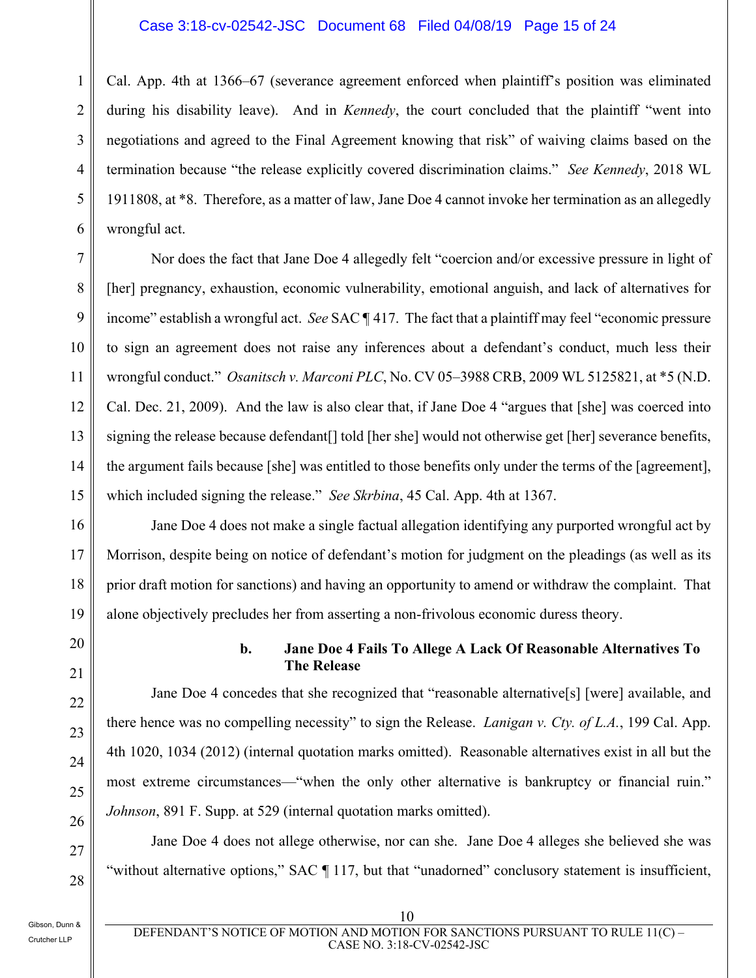#### Case 3:18-cv-02542-JSC Document 68 Filed 04/08/19 Page 15 of 24

1 2 3 4 5 6 Cal. App. 4th at 1366–67 (severance agreement enforced when plaintiff's position was eliminated during his disability leave). And in *Kennedy*, the court concluded that the plaintiff "went into negotiations and agreed to the Final Agreement knowing that risk" of waiving claims based on the termination because "the release explicitly covered discrimination claims." *See Kennedy*, 2018 WL 1911808, at \*8. Therefore, as a matter of law, Jane Doe 4 cannot invoke her termination as an allegedly wrongful act.

9 Nor does the fact that Jane Doe 4 allegedly felt "coercion and/or excessive pressure in light of [her] pregnancy, exhaustion, economic vulnerability, emotional anguish, and lack of alternatives for income" establish a wrongful act. *See* SAC ¶ 417. The fact that a plaintiff may feel "economic pressure to sign an agreement does not raise any inferences about a defendant's conduct, much less their wrongful conduct." *Osanitsch v. Marconi PLC*, No. CV 05–3988 CRB, 2009 WL 5125821, at \*5 (N.D. Cal. Dec. 21, 2009). And the law is also clear that, if Jane Doe 4 "argues that [she] was coerced into signing the release because defendant<sup>[]</sup> told [her she] would not otherwise get [her] severance benefits, the argument fails because [she] was entitled to those benefits only under the terms of the [agreement], which included signing the release." *See Skrbina*, 45 Cal. App. 4th at 1367.

Jane Doe 4 does not make a single factual allegation identifying any purported wrongful act by Morrison, despite being on notice of defendant's motion for judgment on the pleadings (as well as its prior draft motion for sanctions) and having an opportunity to amend or withdraw the complaint. That alone objectively precludes her from asserting a non-frivolous economic duress theory.

#### **b. Jane Doe 4 Fails To Allege A Lack Of Reasonable Alternatives To The Release**

Jane Doe 4 concedes that she recognized that "reasonable alternative[s] [were] available, and there hence was no compelling necessity" to sign the Release. *Lanigan v. Cty. of L.A.*, 199 Cal. App. 4th 1020, 1034 (2012) (internal quotation marks omitted). Reasonable alternatives exist in all but the most extreme circumstances—"when the only other alternative is bankruptcy or financial ruin." *Johnson*, 891 F. Supp. at 529 (internal quotation marks omitted).

Jane Doe 4 does not allege otherwise, nor can she. Jane Doe 4 alleges she believed she was "without alternative options," SAC ¶ 117, but that "unadorned" conclusory statement is insufficient,

Gibson, Dunn & Crutcher LLP

7

8

10

11

12

13

14

15

16

17

18

19

20

21

22

23

24

25

26

27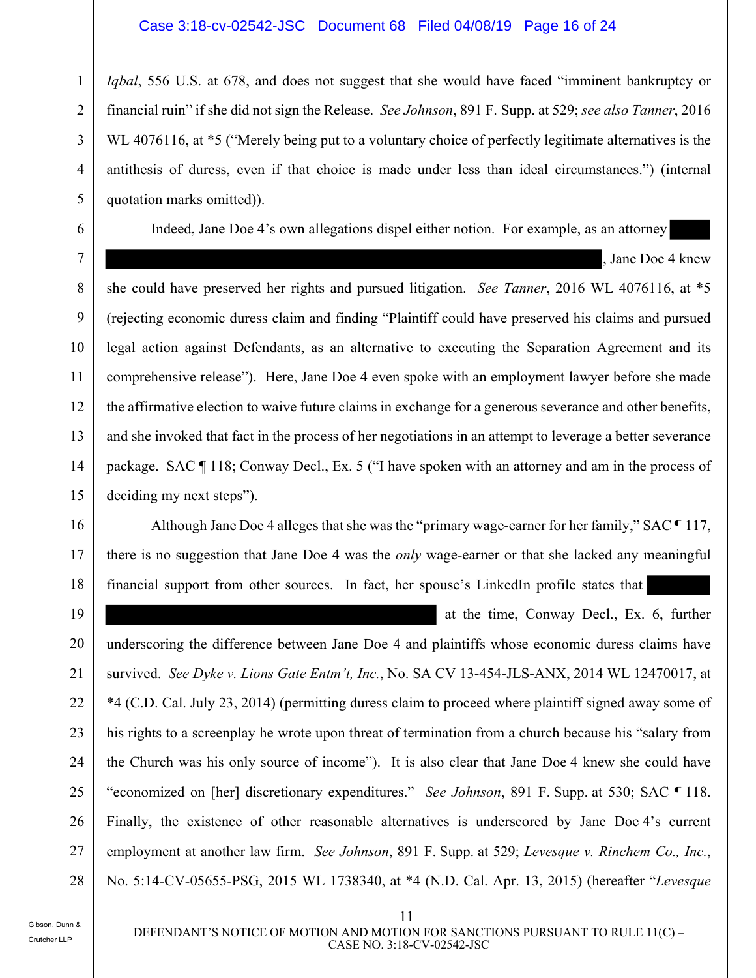#### Case 3:18-cv-02542-JSC Document 68 Filed 04/08/19 Page 16 of 24

5 *Iqbal*, 556 U.S. at 678, and does not suggest that she would have faced "imminent bankruptcy or financial ruin" if she did not sign the Release. *See Johnson*, 891 F. Supp. at 529; *see also Tanner*, 2016 WL 4076116, at \*5 ("Merely being put to a voluntary choice of perfectly legitimate alternatives is the antithesis of duress, even if that choice is made under less than ideal circumstances.") (internal quotation marks omitted)).

Indeed, Jane Doe 4's own allegations dispel either notion. For example, as an attorney

, Jane Doe 4 knew

she could have preserved her rights and pursued litigation. *See Tanner*, 2016 WL 4076116, at \*5 (rejecting economic duress claim and finding "Plaintiff could have preserved his claims and pursued legal action against Defendants, as an alternative to executing the Separation Agreement and its comprehensive release"). Here, Jane Doe 4 even spoke with an employment lawyer before she made the affirmative election to waive future claims in exchange for a generous severance and other benefits, and she invoked that fact in the process of her negotiations in an attempt to leverage a better severance package. SAC ¶ 118; Conway Decl., Ex. 5 ("I have spoken with an attorney and am in the process of deciding my next steps").

Although Jane Doe 4 alleges that she was the "primary wage-earner for her family," SAC ¶ 117, there is no suggestion that Jane Doe 4 was the *only* wage-earner or that she lacked any meaningful financial support from other sources. In fact, her spouse's LinkedIn profile states that

19

20

21

22

23

24

25

26

27

28

1

2

3

4

6

7

8

9

10

11

12

13

14

15

16

17

18

at the time, Conway Decl., Ex. 6, further

underscoring the difference between Jane Doe 4 and plaintiffs whose economic duress claims have survived. *See Dyke v. Lions Gate Entm't, Inc.*, No. SA CV 13-454-JLS-ANX, 2014 WL 12470017, at \*4 (C.D. Cal. July 23, 2014) (permitting duress claim to proceed where plaintiff signed away some of his rights to a screenplay he wrote upon threat of termination from a church because his "salary from the Church was his only source of income"). It is also clear that Jane Doe 4 knew she could have "economized on [her] discretionary expenditures." *See Johnson*, 891 F. Supp. at 530; SAC ¶ 118. Finally, the existence of other reasonable alternatives is underscored by Jane Doe 4's current employment at another law firm. *See Johnson*, 891 F. Supp. at 529; *Levesque v. Rinchem Co., Inc.*, No. 5:14-CV-05655-PSG, 2015 WL 1738340, at \*4 (N.D. Cal. Apr. 13, 2015) (hereafter "*Levesque* 

Gibson, Dunn & Crutcher LLP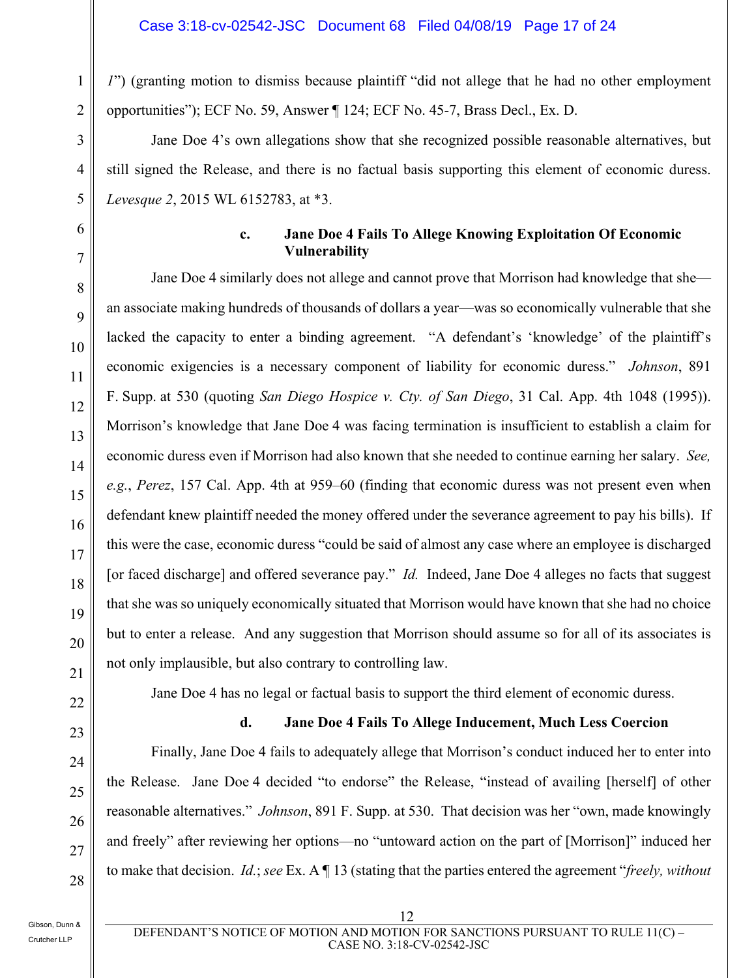*1*") (granting motion to dismiss because plaintiff "did not allege that he had no other employment opportunities"); ECF No. 59, Answer ¶ 124; ECF No. 45-7, Brass Decl., Ex. D.

Jane Doe 4's own allegations show that she recognized possible reasonable alternatives, but still signed the Release, and there is no factual basis supporting this element of economic duress. *Levesque 2*, 2015 WL 6152783, at \*3.

#### **c. Jane Doe 4 Fails To Allege Knowing Exploitation Of Economic Vulnerability**

Jane Doe 4 similarly does not allege and cannot prove that Morrison had knowledge that she an associate making hundreds of thousands of dollars a year—was so economically vulnerable that she lacked the capacity to enter a binding agreement. "A defendant's 'knowledge' of the plaintiff's economic exigencies is a necessary component of liability for economic duress." *Johnson*, 891 F. Supp. at 530 (quoting *San Diego Hospice v. Cty. of San Diego*, 31 Cal. App. 4th 1048 (1995)). Morrison's knowledge that Jane Doe 4 was facing termination is insufficient to establish a claim for economic duress even if Morrison had also known that she needed to continue earning her salary. *See, e.g.*, *Perez*, 157 Cal. App. 4th at 959–60 (finding that economic duress was not present even when defendant knew plaintiff needed the money offered under the severance agreement to pay his bills). If this were the case, economic duress "could be said of almost any case where an employee is discharged [or faced discharge] and offered severance pay." *Id.* Indeed, Jane Doe 4 alleges no facts that suggest that she was so uniquely economically situated that Morrison would have known that she had no choice but to enter a release. And any suggestion that Morrison should assume so for all of its associates is not only implausible, but also contrary to controlling law.

Jane Doe 4 has no legal or factual basis to support the third element of economic duress.

#### **d. Jane Doe 4 Fails To Allege Inducement, Much Less Coercion**

Finally, Jane Doe 4 fails to adequately allege that Morrison's conduct induced her to enter into the Release. Jane Doe 4 decided "to endorse" the Release, "instead of availing [herself] of other reasonable alternatives." *Johnson*, 891 F. Supp. at 530. That decision was her "own, made knowingly and freely" after reviewing her options—no "untoward action on the part of [Morrison]" induced her to make that decision. *Id.*; *see* Ex. A ¶ 13 (stating that the parties entered the agreement "*freely, without*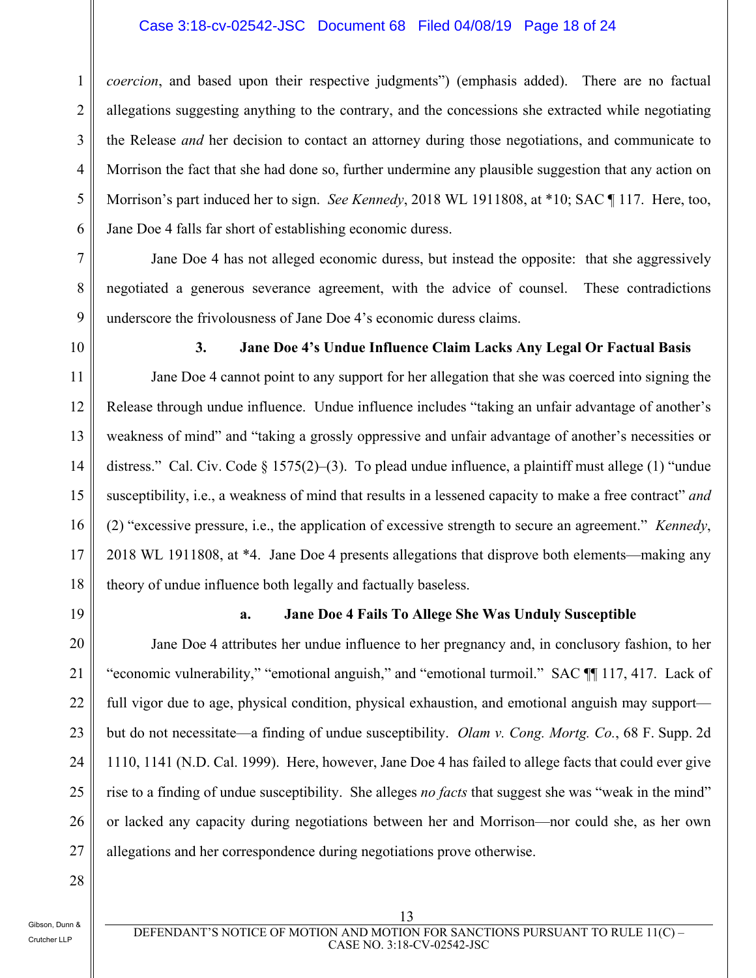#### Case 3:18-cv-02542-JSC Document 68 Filed 04/08/19 Page 18 of 24

3 5 6 *coercion*, and based upon their respective judgments") (emphasis added). There are no factual allegations suggesting anything to the contrary, and the concessions she extracted while negotiating the Release *and* her decision to contact an attorney during those negotiations, and communicate to Morrison the fact that she had done so, further undermine any plausible suggestion that any action on Morrison's part induced her to sign. *See Kennedy*, 2018 WL 1911808, at \*10; SAC ¶ 117. Here, too, Jane Doe 4 falls far short of establishing economic duress.

Jane Doe 4 has not alleged economic duress, but instead the opposite: that she aggressively negotiated a generous severance agreement, with the advice of counsel. These contradictions underscore the frivolousness of Jane Doe 4's economic duress claims.

1

2

4

7

8

9

10

#### **3. Jane Doe 4's Undue Influence Claim Lacks Any Legal Or Factual Basis**

11 12 13 14 15 16 17 18 Jane Doe 4 cannot point to any support for her allegation that she was coerced into signing the Release through undue influence. Undue influence includes "taking an unfair advantage of another's weakness of mind" and "taking a grossly oppressive and unfair advantage of another's necessities or distress." Cal. Civ. Code  $\S 1575(2)$ –(3). To plead undue influence, a plaintiff must allege (1) "undue susceptibility, i.e., a weakness of mind that results in a lessened capacity to make a free contract" *and* (2) "excessive pressure, i.e., the application of excessive strength to secure an agreement." *Kennedy*, 2018 WL 1911808, at \*4. Jane Doe 4 presents allegations that disprove both elements—making any theory of undue influence both legally and factually baseless.

19

20

21

22

23

24

25

26

27

#### **a. Jane Doe 4 Fails To Allege She Was Unduly Susceptible**

Jane Doe 4 attributes her undue influence to her pregnancy and, in conclusory fashion, to her "economic vulnerability," "emotional anguish," and "emotional turmoil." SAC ¶¶ 117, 417. Lack of full vigor due to age, physical condition, physical exhaustion, and emotional anguish may support but do not necessitate—a finding of undue susceptibility. *Olam v. Cong. Mortg. Co.*, 68 F. Supp. 2d 1110, 1141 (N.D. Cal. 1999). Here, however, Jane Doe 4 has failed to allege facts that could ever give rise to a finding of undue susceptibility. She alleges *no facts* that suggest she was "weak in the mind" or lacked any capacity during negotiations between her and Morrison—nor could she, as her own allegations and her correspondence during negotiations prove otherwise.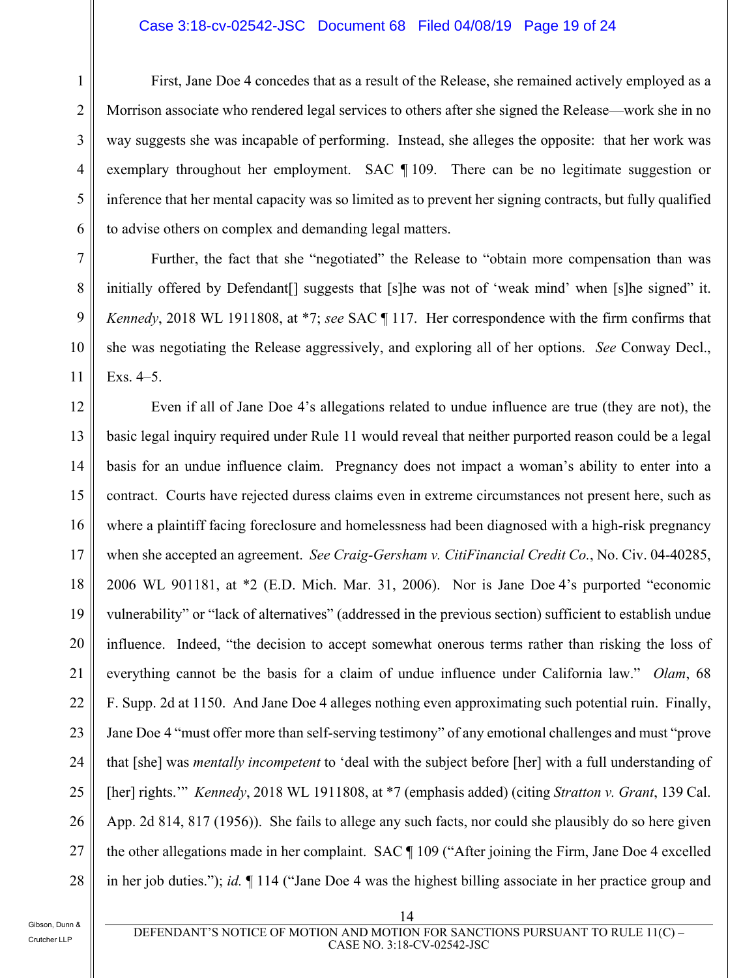#### Case 3:18-cv-02542-JSC Document 68 Filed 04/08/19 Page 19 of 24

First, Jane Doe 4 concedes that as a result of the Release, she remained actively employed as a Morrison associate who rendered legal services to others after she signed the Release—work she in no way suggests she was incapable of performing. Instead, she alleges the opposite: that her work was exemplary throughout her employment. SAC ¶ 109. There can be no legitimate suggestion or inference that her mental capacity was so limited as to prevent her signing contracts, but fully qualified to advise others on complex and demanding legal matters.

Further, the fact that she "negotiated" the Release to "obtain more compensation than was initially offered by Defendant all suggests that [s] he was not of 'weak mind' when [s] he signed" it. *Kennedy*, 2018 WL 1911808, at \*7; *see* SAC ¶ 117. Her correspondence with the firm confirms that she was negotiating the Release aggressively, and exploring all of her options. *See* Conway Decl., Exs. 4–5.

12 13 14 15 16 17 18 19 20 21 22 23 24 25 26 27 28 Even if all of Jane Doe 4's allegations related to undue influence are true (they are not), the basic legal inquiry required under Rule 11 would reveal that neither purported reason could be a legal basis for an undue influence claim. Pregnancy does not impact a woman's ability to enter into a contract. Courts have rejected duress claims even in extreme circumstances not present here, such as where a plaintiff facing foreclosure and homelessness had been diagnosed with a high-risk pregnancy when she accepted an agreement. *See Craig-Gersham v. CitiFinancial Credit Co.*, No. Civ. 04-40285, 2006 WL 901181, at \*2 (E.D. Mich. Mar. 31, 2006). Nor is Jane Doe 4's purported "economic vulnerability" or "lack of alternatives" (addressed in the previous section) sufficient to establish undue influence. Indeed, "the decision to accept somewhat onerous terms rather than risking the loss of everything cannot be the basis for a claim of undue influence under California law." *Olam*, 68 F. Supp. 2d at 1150. And Jane Doe 4 alleges nothing even approximating such potential ruin. Finally, Jane Doe 4 "must offer more than self-serving testimony" of any emotional challenges and must "prove that [she] was *mentally incompetent* to 'deal with the subject before [her] with a full understanding of [her] rights.'" *Kennedy*, 2018 WL 1911808, at \*7 (emphasis added) (citing *Stratton v. Grant*, 139 Cal. App. 2d 814, 817 (1956)). She fails to allege any such facts, nor could she plausibly do so here given the other allegations made in her complaint.SAC ¶ 109 ("After joining the Firm, Jane Doe 4 excelled in her job duties."); *id.* ¶ 114 ("Jane Doe 4 was the highest billing associate in her practice group and

1

2

3

4

5

6

7

8

9

10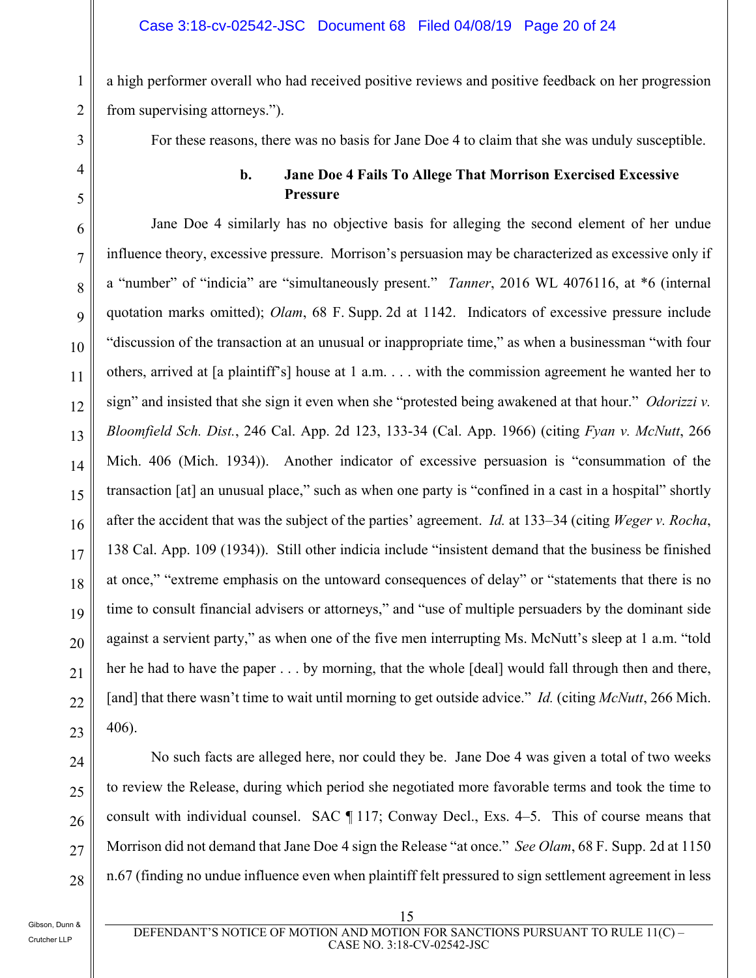a high performer overall who had received positive reviews and positive feedback on her progression from supervising attorneys.").

For these reasons, there was no basis for Jane Doe 4 to claim that she was unduly susceptible.

#### **b. Jane Doe 4 Fails To Allege That Morrison Exercised Excessive Pressure**

6 7 8 9 10 11 12 13 14 15 16 17 18 19 20 21 22 Jane Doe 4 similarly has no objective basis for alleging the second element of her undue influence theory, excessive pressure. Morrison's persuasion may be characterized as excessive only if a "number" of "indicia" are "simultaneously present." *Tanner*, 2016 WL 4076116, at \*6 (internal quotation marks omitted); *Olam*, 68 F. Supp. 2d at 1142. Indicators of excessive pressure include "discussion of the transaction at an unusual or inappropriate time," as when a businessman "with four others, arrived at [a plaintiff's] house at 1 a.m. . . . with the commission agreement he wanted her to sign" and insisted that she sign it even when she "protested being awakened at that hour." *Odorizzi v. Bloomfield Sch. Dist.*, 246 Cal. App. 2d 123, 133-34 (Cal. App. 1966) (citing *Fyan v. McNutt*, 266 Mich. 406 (Mich. 1934)). Another indicator of excessive persuasion is "consummation of the transaction [at] an unusual place," such as when one party is "confined in a cast in a hospital" shortly after the accident that was the subject of the parties' agreement. *Id.* at 133–34 (citing *Weger v. Rocha*, 138 Cal. App. 109 (1934)). Still other indicia include "insistent demand that the business be finished at once," "extreme emphasis on the untoward consequences of delay" or "statements that there is no time to consult financial advisers or attorneys," and "use of multiple persuaders by the dominant side against a servient party," as when one of the five men interrupting Ms. McNutt's sleep at 1 a.m. "told her he had to have the paper . . . by morning, that the whole [deal] would fall through then and there, [and] that there wasn't time to wait until morning to get outside advice." *Id.* (citing *McNutt*, 266 Mich. 406).

28

1

2

3

4

5

No such facts are alleged here, nor could they be. Jane Doe 4 was given a total of two weeks to review the Release, during which period she negotiated more favorable terms and took the time to consult with individual counsel. SAC ¶ 117; Conway Decl., Exs. 4–5. This of course means that Morrison did not demand that Jane Doe 4 sign the Release "at once." *See Olam*, 68 F. Supp. 2d at 1150 n.67 (finding no undue influence even when plaintiff felt pressured to sign settlement agreement in less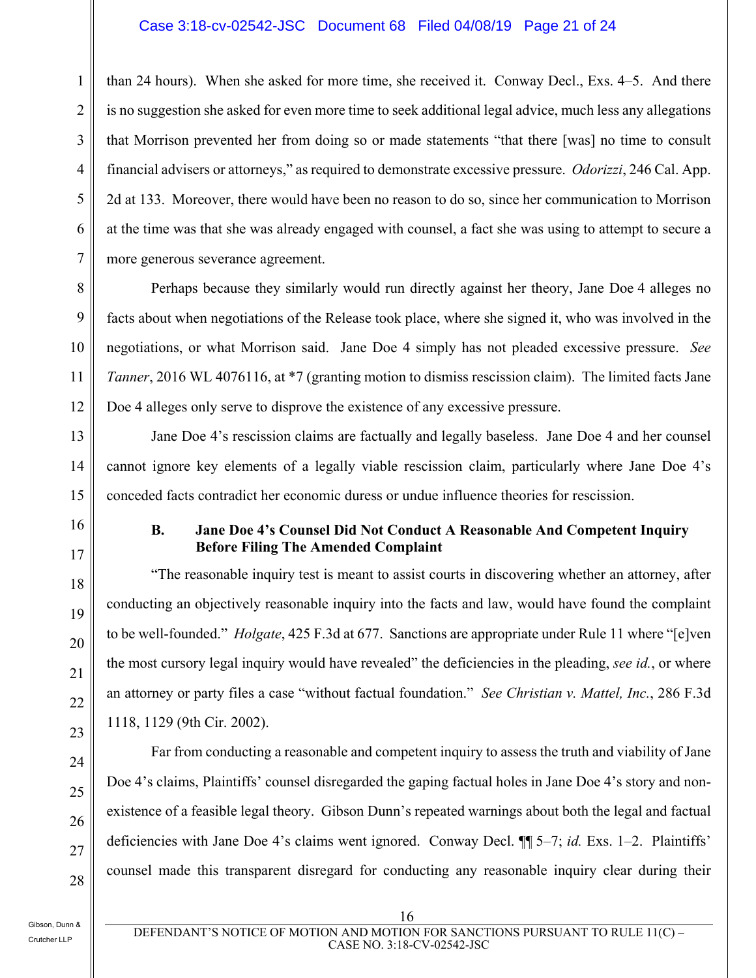#### Case 3:18-cv-02542-JSC Document 68 Filed 04/08/19 Page 21 of 24

1 2 3 4 5 6 7 than 24 hours). When she asked for more time, she received it. Conway Decl., Exs. 4–5. And there is no suggestion she asked for even more time to seek additional legal advice, much less any allegations that Morrison prevented her from doing so or made statements "that there [was] no time to consult financial advisers or attorneys," as required to demonstrate excessive pressure. *Odorizzi*, 246 Cal. App. 2d at 133. Moreover, there would have been no reason to do so, since her communication to Morrison at the time was that she was already engaged with counsel, a fact she was using to attempt to secure a more generous severance agreement.

Perhaps because they similarly would run directly against her theory, Jane Doe 4 alleges no facts about when negotiations of the Release took place, where she signed it, who was involved in the negotiations, or what Morrison said. Jane Doe 4 simply has not pleaded excessive pressure. *See Tanner*, 2016 WL 4076116, at \*7 (granting motion to dismiss rescission claim). The limited facts Jane Doe 4 alleges only serve to disprove the existence of any excessive pressure.

Jane Doe 4's rescission claims are factually and legally baseless. Jane Doe 4 and her counsel cannot ignore key elements of a legally viable rescission claim, particularly where Jane Doe 4's conceded facts contradict her economic duress or undue influence theories for rescission.

#### **B. Jane Doe 4's Counsel Did Not Conduct A Reasonable And Competent Inquiry Before Filing The Amended Complaint**

"The reasonable inquiry test is meant to assist courts in discovering whether an attorney, after conducting an objectively reasonable inquiry into the facts and law, would have found the complaint to be well-founded." *Holgate*, 425 F.3d at 677. Sanctions are appropriate under Rule 11 where "[e]ven the most cursory legal inquiry would have revealed" the deficiencies in the pleading, *see id.*, or where an attorney or party files a case "without factual foundation." *See Christian v. Mattel, Inc.*, 286 F.3d 1118, 1129 (9th Cir. 2002).

Far from conducting a reasonable and competent inquiry to assess the truth and viability of Jane Doe 4's claims, Plaintiffs' counsel disregarded the gaping factual holes in Jane Doe 4's story and nonexistence of a feasible legal theory. Gibson Dunn's repeated warnings about both the legal and factual deficiencies with Jane Doe 4's claims went ignored. Conway Decl. ¶¶ 5–7; *id.* Exs. 1–2. Plaintiffs' counsel made this transparent disregard for conducting any reasonable inquiry clear during their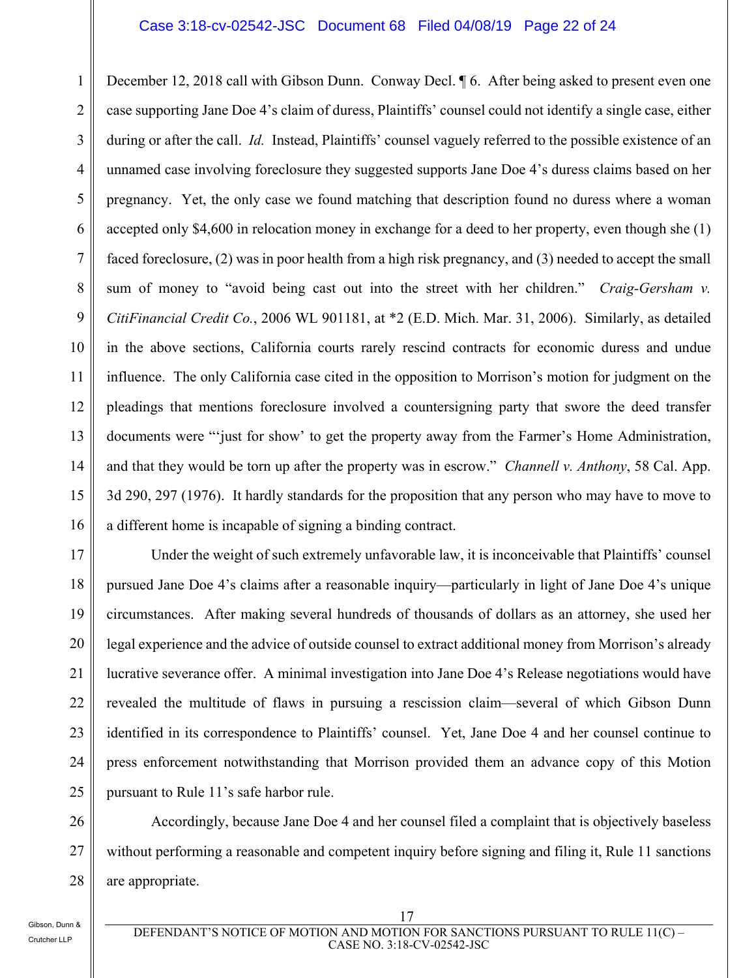#### Case 3:18-cv-02542-JSC Document 68 Filed 04/08/19 Page 22 of 24

1 2 3 4 5 6 7 8 9 10 11 12 13 14 15 16 December 12, 2018 call with Gibson Dunn. Conway Decl.  $\parallel$  6. After being asked to present even one case supporting Jane Doe 4's claim of duress, Plaintiffs' counsel could not identify a single case, either during or after the call. *Id.* Instead, Plaintiffs' counsel vaguely referred to the possible existence of an unnamed case involving foreclosure they suggested supports Jane Doe 4's duress claims based on her pregnancy. Yet, the only case we found matching that description found no duress where a woman accepted only \$4,600 in relocation money in exchange for a deed to her property, even though she (1) faced foreclosure, (2) was in poor health from a high risk pregnancy, and (3) needed to accept the small sum of money to "avoid being cast out into the street with her children." *Craig-Gersham v. CitiFinancial Credit Co.*, 2006 WL 901181, at \*2 (E.D. Mich. Mar. 31, 2006). Similarly, as detailed in the above sections, California courts rarely rescind contracts for economic duress and undue influence. The only California case cited in the opposition to Morrison's motion for judgment on the pleadings that mentions foreclosure involved a countersigning party that swore the deed transfer documents were "'just for show' to get the property away from the Farmer's Home Administration, and that they would be torn up after the property was in escrow." *Channell v. Anthony*, 58 Cal. App. 3d 290, 297 (1976). It hardly standards for the proposition that any person who may have to move to a different home is incapable of signing a binding contract.

17 18 19 20 21 22 23 24 25 Under the weight of such extremely unfavorable law, it is inconceivable that Plaintiffs' counsel pursued Jane Doe 4's claims after a reasonable inquiry—particularly in light of Jane Doe 4's unique circumstances. After making several hundreds of thousands of dollars as an attorney, she used her legal experience and the advice of outside counsel to extract additional money from Morrison's already lucrative severance offer. A minimal investigation into Jane Doe 4's Release negotiations would have revealed the multitude of flaws in pursuing a rescission claim—several of which Gibson Dunn identified in its correspondence to Plaintiffs' counsel. Yet, Jane Doe 4 and her counsel continue to press enforcement notwithstanding that Morrison provided them an advance copy of this Motion pursuant to Rule 11's safe harbor rule.

26 27 28 Accordingly, because Jane Doe 4 and her counsel filed a complaint that is objectively baseless without performing a reasonable and competent inquiry before signing and filing it, Rule 11 sanctions are appropriate.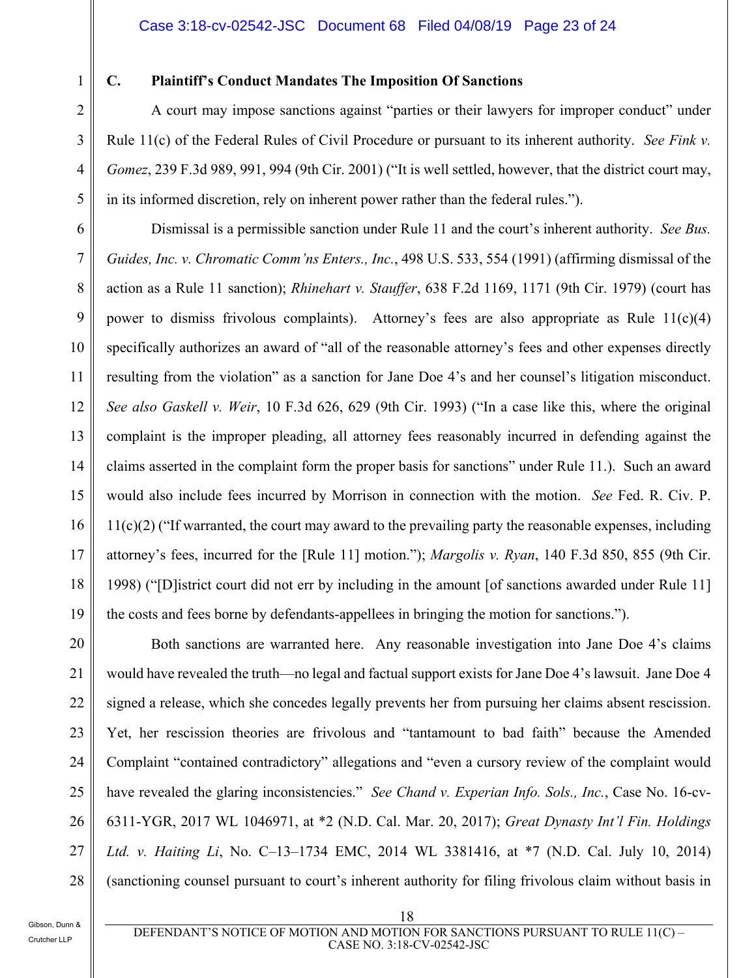1

2

3

4

5

6

8

10

11

13

14

15

16

17

18

19

#### **C. Plaintiff's Conduct Mandates The Imposition Of Sanctions**

A court may impose sanctions against "parties or their lawyers for improper conduct" under Rule 11(c) of the Federal Rules of Civil Procedure or pursuant to its inherent authority. *See Fink v. Gomez*, 239 F.3d 989, 991, 994 (9th Cir. 2001) ("It is well settled, however, that the district court may, in its informed discretion, rely on inherent power rather than the federal rules.").

7 9 12 Dismissal is a permissible sanction under Rule 11 and the court's inherent authority. *See Bus. Guides, Inc. v. Chromatic Comm'ns Enters., Inc.*, 498 U.S. 533, 554 (1991) (affirming dismissal of the action as a Rule 11 sanction); *Rhinehart v. Stauffer*, 638 F.2d 1169, 1171 (9th Cir. 1979) (court has power to dismiss frivolous complaints). Attorney's fees are also appropriate as Rule 11(c)(4) specifically authorizes an award of "all of the reasonable attorney's fees and other expenses directly resulting from the violation" as a sanction for Jane Doe 4's and her counsel's litigation misconduct. *See also Gaskell v. Weir*, 10 F.3d 626, 629 (9th Cir. 1993) ("In a case like this, where the original complaint is the improper pleading, all attorney fees reasonably incurred in defending against the claims asserted in the complaint form the proper basis for sanctions" under Rule 11.). Such an award would also include fees incurred by Morrison in connection with the motion. *See* Fed. R. Civ. P.  $11(c)(2)$  ("If warranted, the court may award to the prevailing party the reasonable expenses, including attorney's fees, incurred for the [Rule 11] motion."); *Margolis v. Ryan*, 140 F.3d 850, 855 (9th Cir. 1998) ("[D]istrict court did not err by including in the amount [of sanctions awarded under Rule 11] the costs and fees borne by defendants-appellees in bringing the motion for sanctions.").

20 21 22 23 24 25 26 27 28 Both sanctions are warranted here. Any reasonable investigation into Jane Doe 4's claims would have revealed the truth—no legal and factual support exists for Jane Doe 4's lawsuit. Jane Doe 4 signed a release, which she concedes legally prevents her from pursuing her claims absent rescission. Yet, her rescission theories are frivolous and "tantamount to bad faith" because the Amended Complaint "contained contradictory" allegations and "even a cursory review of the complaint would have revealed the glaring inconsistencies." *See Chand v. Experian Info. Sols., Inc.*, Case No. 16-cv-6311-YGR, 2017 WL 1046971, at \*2 (N.D. Cal. Mar. 20, 2017); *Great Dynasty Int'l Fin. Holdings Ltd. v. Haiting Li*, No. C–13–1734 EMC, 2014 WL 3381416, at \*7 (N.D. Cal. July 10, 2014) (sanctioning counsel pursuant to court's inherent authority for filing frivolous claim without basis in